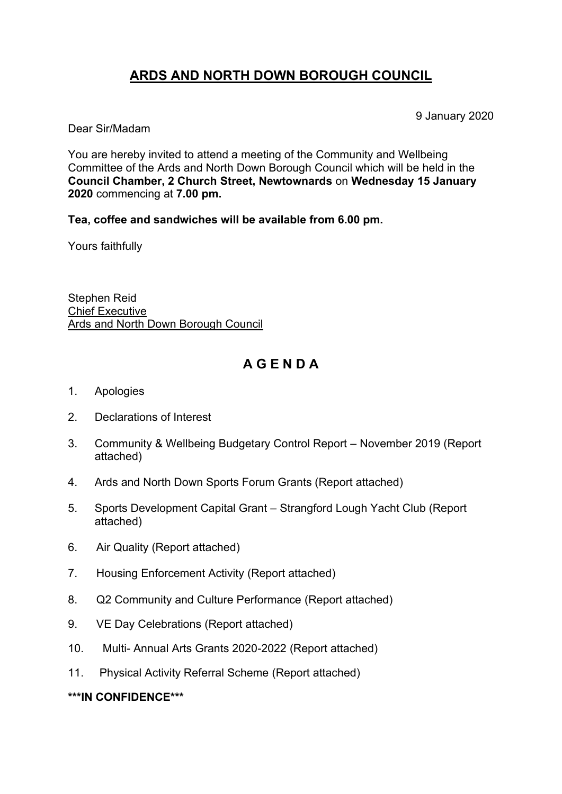## **ARDS AND NORTH DOWN BOROUGH COUNCIL**

9 January 2020

Dear Sir/Madam

You are hereby invited to attend a meeting of the Community and Wellbeing Committee of the Ards and North Down Borough Council which will be held in the **Council Chamber, 2 Church Street, Newtownards** on **Wednesday 15 January 2020** commencing at **7.00 pm.**

**Tea, coffee and sandwiches will be available from 6.00 pm.**

Yours faithfully

Stephen Reid Chief Executive Ards and North Down Borough Council

## **A G E N D A**

- 1. Apologies
- 2. Declarations of Interest
- 3. Community & Wellbeing Budgetary Control Report November 2019 (Report attached)
- 4. Ards and North Down Sports Forum Grants (Report attached)
- 5. Sports Development Capital Grant Strangford Lough Yacht Club (Report attached)
- 6. Air Quality (Report attached)
- 7. Housing Enforcement Activity (Report attached)
- 8. Q2 Community and Culture Performance (Report attached)
- 9. VE Day Celebrations (Report attached)
- 10. Multi- Annual Arts Grants 2020-2022 (Report attached)
- 11. Physical Activity Referral Scheme (Report attached)

#### **\*\*\*IN CONFIDENCE\*\*\***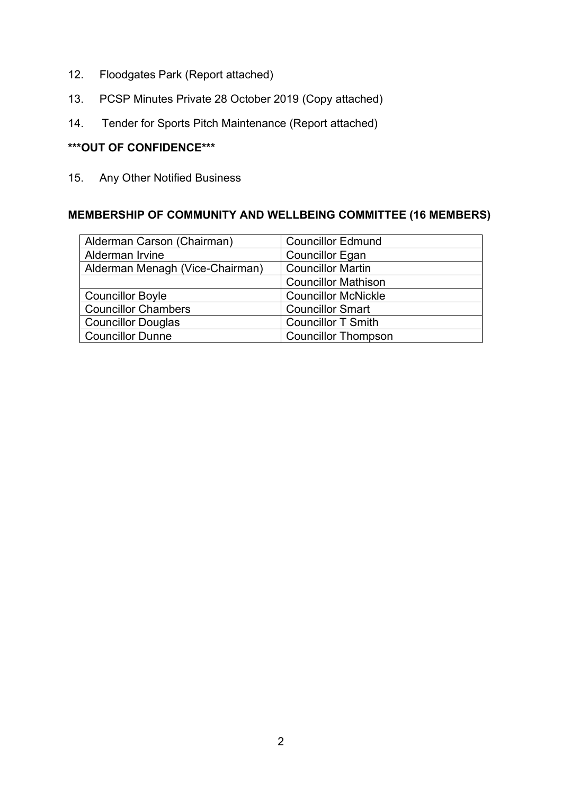- 12. Floodgates Park (Report attached)
- 13. PCSP Minutes Private 28 October 2019 (Copy attached)
- 14. Tender for Sports Pitch Maintenance (Report attached)

#### **\*\*\*OUT OF CONFIDENCE\*\*\***

15. Any Other Notified Business

## **MEMBERSHIP OF COMMUNITY AND WELLBEING COMMITTEE (16 MEMBERS)**

| Alderman Carson (Chairman)      | <b>Councillor Edmund</b>   |
|---------------------------------|----------------------------|
| Alderman Irvine                 | <b>Councillor Egan</b>     |
| Alderman Menagh (Vice-Chairman) | <b>Councillor Martin</b>   |
|                                 | <b>Councillor Mathison</b> |
| <b>Councillor Boyle</b>         | <b>Councillor McNickle</b> |
| <b>Councillor Chambers</b>      | <b>Councillor Smart</b>    |
| <b>Councillor Douglas</b>       | <b>Councillor T Smith</b>  |
| <b>Councillor Dunne</b>         | <b>Councillor Thompson</b> |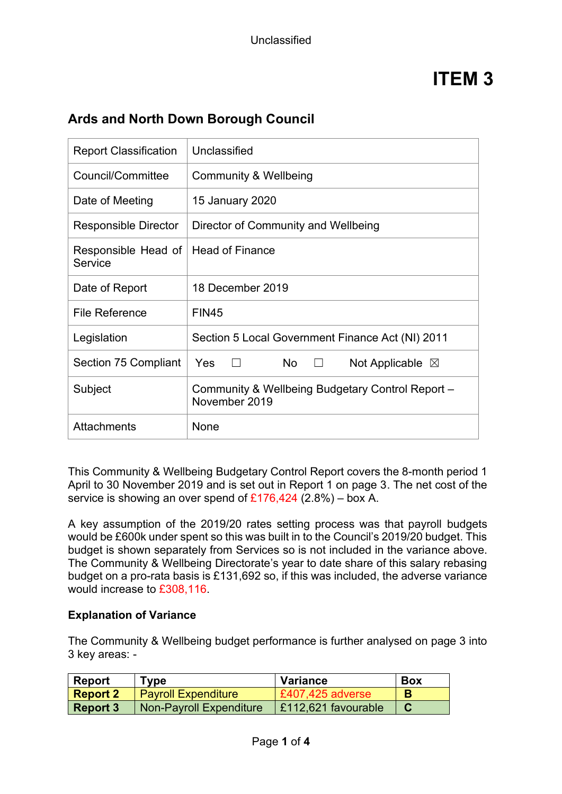| <b>Report Classification</b>   | Unclassified                                                      |
|--------------------------------|-------------------------------------------------------------------|
| Council/Committee              | <b>Community &amp; Wellbeing</b>                                  |
| Date of Meeting                | 15 January 2020                                                   |
| <b>Responsible Director</b>    | Director of Community and Wellbeing                               |
| Responsible Head of<br>Service | <b>Head of Finance</b>                                            |
| Date of Report                 | 18 December 2019                                                  |
| <b>File Reference</b>          | <b>FIN45</b>                                                      |
| Legislation                    | Section 5 Local Government Finance Act (NI) 2011                  |
| Section 75 Compliant           | Yes<br><b>No</b><br>Not Applicable $\boxtimes$<br>$\perp$         |
| Subject                        | Community & Wellbeing Budgetary Control Report -<br>November 2019 |
| Attachments                    | None                                                              |

## **Ards and North Down Borough Council**

This Community & Wellbeing Budgetary Control Report covers the 8-month period 1 April to 30 November 2019 and is set out in Report 1 on page 3. The net cost of the service is showing an over spend of  $£176,424$  (2.8%) – box A.

A key assumption of the 2019/20 rates setting process was that payroll budgets would be £600k under spent so this was built in to the Council's 2019/20 budget. This budget is shown separately from Services so is not included in the variance above. The Community & Wellbeing Directorate's year to date share of this salary rebasing budget on a pro-rata basis is £131,692 so, if this was included, the adverse variance would increase to £308,116.

#### **Explanation of Variance**

The Community & Wellbeing budget performance is further analysed on page 3 into 3 key areas: -

| <b>Report</b>   | Tvpe                       | Variance            | <b>Box</b> |
|-----------------|----------------------------|---------------------|------------|
| <b>Report 2</b> | <b>Payroll Expenditure</b> | £407,425 adverse    |            |
| <b>Report 3</b> | Non-Payroll Expenditure    | E112,621 favourable |            |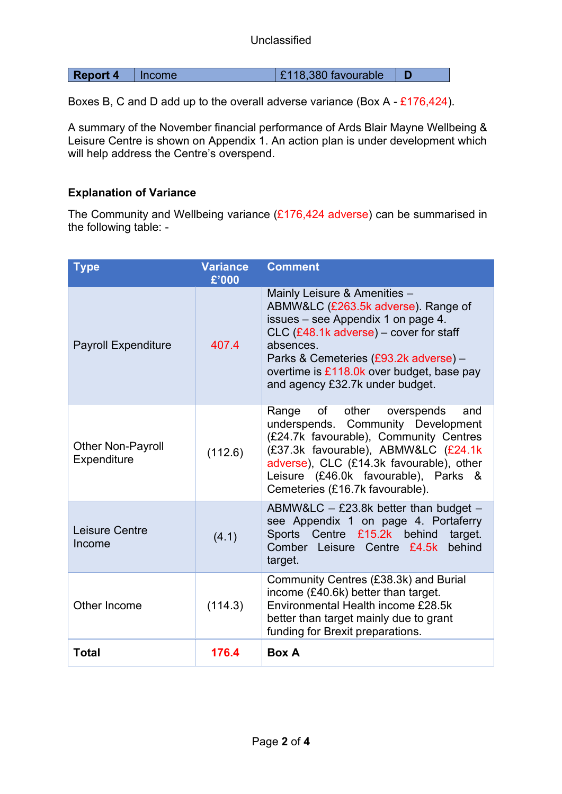**Report 4** Income **E118,380 favourable D** 

Boxes B, C and D add up to the overall adverse variance (Box A - £176,424).

A summary of the November financial performance of Ards Blair Mayne Wellbeing & Leisure Centre is shown on Appendix 1. An action plan is under development which will help address the Centre's overspend.

#### **Explanation of Variance**

The Community and Wellbeing variance (£176,424 adverse) can be summarised in the following table: -

| <b>Type</b>                      | <b>Variance</b><br>£'000 | <b>Comment</b>                                                                                                                                                                                                                                                                            |
|----------------------------------|--------------------------|-------------------------------------------------------------------------------------------------------------------------------------------------------------------------------------------------------------------------------------------------------------------------------------------|
| <b>Payroll Expenditure</b>       | 407.4                    | Mainly Leisure & Amenities -<br>ABMW&LC (£263.5k adverse). Range of<br>issues - see Appendix 1 on page 4.<br>CLC (£48.1k adverse) - cover for staff<br>absences.<br>Parks & Cemeteries (£93.2k adverse) -<br>overtime is £118.0k over budget, base pay<br>and agency £32.7k under budget. |
| Other Non-Payroll<br>Expenditure | (112.6)                  | of<br>other<br>Range<br>overspends<br>and<br>underspends. Community Development<br>(£24.7k favourable), Community Centres<br>(£37.3k favourable), ABMW&LC (£24.1k<br>adverse), CLC (£14.3k favourable), other<br>Leisure (£46.0k favourable), Parks &<br>Cemeteries (£16.7k favourable).  |
| Leisure Centre<br>Income         | (4.1)                    | ABMW&LC - £23.8k better than budget -<br>see Appendix 1 on page 4. Portaferry<br>Sports Centre £15.2k behind<br>target.<br>behind<br>Comber Leisure Centre £4.5k<br>target.                                                                                                               |
| Other Income                     | (114.3)                  | Community Centres (£38.3k) and Burial<br>income (£40.6k) better than target.<br>Environmental Health income £28.5k<br>better than target mainly due to grant<br>funding for Brexit preparations.                                                                                          |
| <b>Total</b>                     | 176.4                    | <b>Box A</b>                                                                                                                                                                                                                                                                              |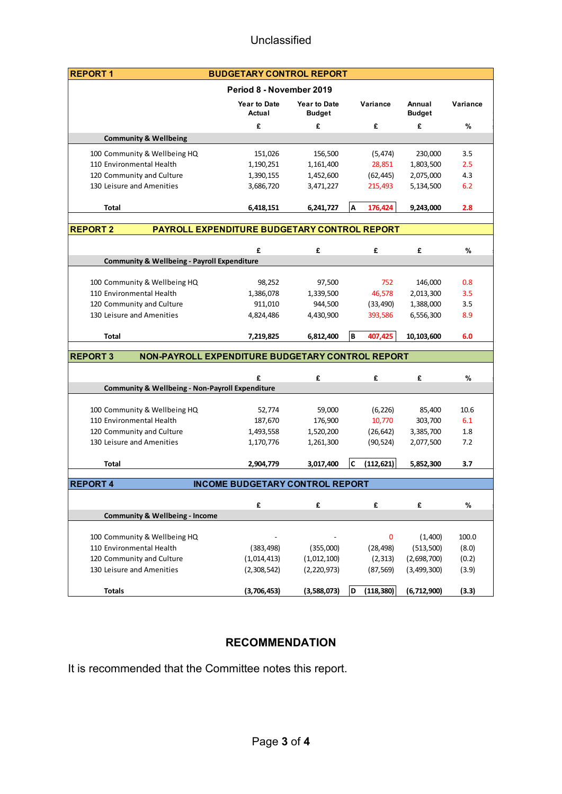| <b>REPORT1</b>                                                      | <b>BUDGETARY CONTROL REPORT</b>              |                               |                   |                         |                |
|---------------------------------------------------------------------|----------------------------------------------|-------------------------------|-------------------|-------------------------|----------------|
|                                                                     | Period 8 - November 2019                     |                               |                   |                         |                |
|                                                                     | <b>Year to Date</b><br>Actual                | <b>Year to Date</b><br>Budget | Variance          | Annual<br><b>Budget</b> | Variance       |
|                                                                     | £                                            | £                             | £                 | £                       | %              |
| <b>Community &amp; Wellbeing</b>                                    |                                              |                               |                   |                         |                |
| 100 Community & Wellbeing HQ                                        | 151,026                                      | 156,500                       | (5, 474)          | 230,000                 | 3.5            |
| 110 Environmental Health                                            | 1,190,251                                    | 1,161,400                     | 28,851            | 1,803,500               | 2.5            |
| 120 Community and Culture                                           | 1,390,155                                    | 1,452,600                     | (62, 445)         | 2,075,000               | 4.3            |
| 130 Leisure and Amenities                                           | 3,686,720                                    | 3,471,227                     | 215,493           | 5,134,500               | 6.2            |
| Total                                                               | 6,418,151                                    | 6,241,727                     | 176,424<br>Α      | 9,243,000               | 2.8            |
| <b>REPORT 2</b>                                                     | PAYROLL EXPENDITURE BUDGETARY CONTROL REPORT |                               |                   |                         |                |
|                                                                     | £                                            | £                             | £                 | £                       | %              |
| <b>Community &amp; Wellbeing - Payroll Expenditure</b>              |                                              |                               |                   |                         |                |
|                                                                     |                                              |                               |                   |                         |                |
| 100 Community & Wellbeing HQ                                        | 98,252                                       | 97,500                        | 752               | 146,000                 | 0.8            |
| 110 Environmental Health                                            | 1,386,078<br>911,010                         | 1,339,500                     | 46,578            | 2,013,300               | 3.5            |
| 120 Community and Culture<br>130 Leisure and Amenities              |                                              | 944,500                       | (33, 490)         | 1,388,000               | 3.5            |
|                                                                     | 4,824,486                                    | 4,430,900                     | 393,586           | 6,556,300               | 8.9            |
| <b>Total</b>                                                        | 7,219,825                                    | 6,812,400                     | B<br>407,425      | 10,103,600              | 6.0            |
| <b>REPORT 3</b><br>NON-PAYROLL EXPENDITURE BUDGETARY CONTROL REPORT |                                              |                               |                   |                         |                |
|                                                                     | £                                            | £                             | £                 | £                       | %              |
| <b>Community &amp; Wellbeing - Non-Payroll Expenditure</b>          |                                              |                               |                   |                         |                |
|                                                                     |                                              |                               |                   |                         |                |
| 100 Community & Wellbeing HQ                                        | 52,774                                       | 59,000                        | (6, 226)          | 85,400                  | 10.6           |
| 110 Environmental Health                                            | 187,670                                      | 176,900                       | 10,770            | 303,700                 | 6.1            |
| 120 Community and Culture<br>130 Leisure and Amenities              | 1,493,558<br>1,170,776                       | 1,520,200<br>1,261,300        | (26, 642)         | 3,385,700               | $1.8\,$<br>7.2 |
|                                                                     |                                              |                               | (90, 524)         | 2,077,500               |                |
| Total                                                               | 2,904,779                                    | 3,017,400                     | lc.<br>(112, 621) | 5,852,300               | 3.7            |
| <b>REPORT 4</b>                                                     | <b>INCOME BUDGETARY CONTROL REPORT</b>       |                               |                   |                         |                |
|                                                                     | £                                            | £                             | £                 | £                       | $\%$           |
| <b>Community &amp; Wellbeing - Income</b>                           |                                              |                               |                   |                         |                |
| 100 Community & Wellbeing HQ                                        |                                              |                               | 0                 | (1,400)                 | 100.0          |
| 110 Environmental Health                                            | (383, 498)                                   |                               | (28, 498)         | (513, 500)              | (8.0)          |
| 120 Community and Culture                                           | (1,014,413)                                  | (355,000)<br>(1,012,100)      | (2, 313)          | (2,698,700)             | (0.2)          |
| 130 Leisure and Amenities                                           |                                              |                               | (87, 569)         |                         |                |
|                                                                     | (2,308,542)                                  | (2,220,973)                   |                   | (3,499,300)             | (3.9)          |
| <b>Totals</b>                                                       | (3,706,453)                                  | (3,588,073)                   | D<br>(118, 380)   | (6,712,900)             | (3.3)          |

### **RECOMMENDATION**

It is recommended that the Committee notes this report.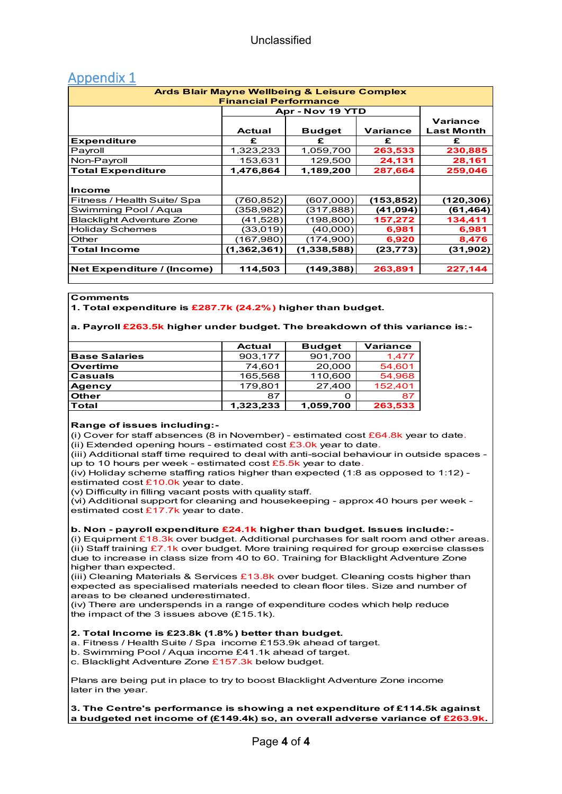| $1.1$ P $\sim$ 1.1 $\sim$ 17 $\sim$ 40<br><b>Ards Blair Mayne Wellbeing &amp; Leisure Complex</b> |                              |                  |            |                   |  |  |  |  |  |
|---------------------------------------------------------------------------------------------------|------------------------------|------------------|------------|-------------------|--|--|--|--|--|
|                                                                                                   |                              |                  |            |                   |  |  |  |  |  |
|                                                                                                   | <b>Financial Performance</b> |                  |            |                   |  |  |  |  |  |
|                                                                                                   |                              | Apr - Nov 19 YTD |            |                   |  |  |  |  |  |
|                                                                                                   |                              |                  |            | Variance          |  |  |  |  |  |
|                                                                                                   | <b>Actual</b>                | <b>Budget</b>    | Variance   | <b>Last Month</b> |  |  |  |  |  |
| <b>Expenditure</b>                                                                                | £                            | £                | £          | £                 |  |  |  |  |  |
| Payroll                                                                                           | 1,323,233                    | 1,059,700        | 263,533    | 230,885           |  |  |  |  |  |
| Non-Payroll                                                                                       | 153,631                      | 129,500          | 24,131     | 28,161            |  |  |  |  |  |
| <b>Total Expenditure</b>                                                                          | 1,476,864                    | 1,189,200        | 287,664    | 259,046           |  |  |  |  |  |
|                                                                                                   |                              |                  |            |                   |  |  |  |  |  |
| <b>Income</b>                                                                                     |                              |                  |            |                   |  |  |  |  |  |
| Fitness / Health Suite/ Spa                                                                       | (760,852)                    | (607,000)        | (153, 852) | (120,306)         |  |  |  |  |  |
| Swimming Pool / Aqua                                                                              | (358,982)                    | (317,888)        | (41,094)   | (61,464)          |  |  |  |  |  |
| <b>Blacklight Adventure Zone</b>                                                                  | (41,528)                     | (198,800)        | 157,272    | 134,411           |  |  |  |  |  |
| <b>Holiday Schemes</b>                                                                            | (33,019)                     | (40,000)         | 6,981      | 6,981             |  |  |  |  |  |
| Other                                                                                             | (167,980)                    | (174, 900)       | 6,920      | 8,476             |  |  |  |  |  |
| Total Income                                                                                      | (1,362,361)                  | (1,338,588)      | (23,773)   | (31,902)          |  |  |  |  |  |
|                                                                                                   |                              |                  |            |                   |  |  |  |  |  |
| <b>Net Expenditure / (Income)</b>                                                                 | 114,503                      | (149,388)        | 263,891    | 227,144           |  |  |  |  |  |
|                                                                                                   |                              |                  |            |                   |  |  |  |  |  |

### Annendix 1

#### **Comments**

**1. Total expenditure is £287.7k (24.2%) higher than budget.** 

#### **a. Payroll £263.5k higher under budget. The breakdown of this variance is:-**

|                      | <b>Actual</b> | <b>Budget</b> | Variance |
|----------------------|---------------|---------------|----------|
| <b>Base Salaries</b> | 903,177       | 901,700       | 1,477    |
| Overtime             | 74.601        | 20,000        | 54,601   |
| Casuals              | 165,568       | 110,600       | 54,968   |
| <b>Agency</b>        | 179.801       | 27,400        | 152,401  |
| Other                | 87            |               | 87       |
| <b>Total</b>         | 1,323,233     | 1,059,700     | 263,533  |

#### **Range of issues including:-**

(i) Cover for staff absences (8 in November) - estimated cost  $£64.8k$  year to date. (ii) Extended opening hours - estimated cost  $£3.0k$  year to date.

(iii) Additional staff time required to deal with anti-social behaviour in outside spaces up to 10 hours per week - estimated cost  $£5.5k$  year to date.

(iv) Holiday scheme staffing ratios higher than expected (1:8 as opposed to 1:12) estimated cost £10.0k year to date.

(v) Difficulty in filling vacant posts with quality staff.

(vi) Additional support for cleaning and housekeeping - approx 40 hours per week estimated cost £17.7k year to date.

#### **b. Non - payroll expenditure £24.1k higher than budget. Issues include:-**

(i) Equipment  $£18.3k$  over budget. Additional purchases for salt room and other areas. (ii) Staff training £7.1k over budget. More training required for group exercise classes due to increase in class size from 40 to 60. Training for Blacklight Adventure Zone higher than expected.

(iii) Cleaning Materials & Services  $£13.8k$  over budget. Cleaning costs higher than expected as specialised materials needed to clean floor tiles. Size and number of areas to be cleaned underestimated.

(iv) There are underspends in a range of expenditure codes which help reduce the impact of the 3 issues above (£15.1k).

#### **2. Total Income is £23.8k (1.8%) better than budget.**

a. Fitness / Health Suite / Spa income £153.9k ahead of target.

- b. Swimming Pool / Aqua income £41.1k ahead of target.
- c. Blacklight Adventure Zone £157.3k below budget.

Plans are being put in place to try to boost Blacklight Adventure Zone income later in the year.

#### **3. The Centre's performance is showing a net expenditure of £114.5k against a budgeted net income of (£149.4k) so, an overall adverse variance of £263.9k.**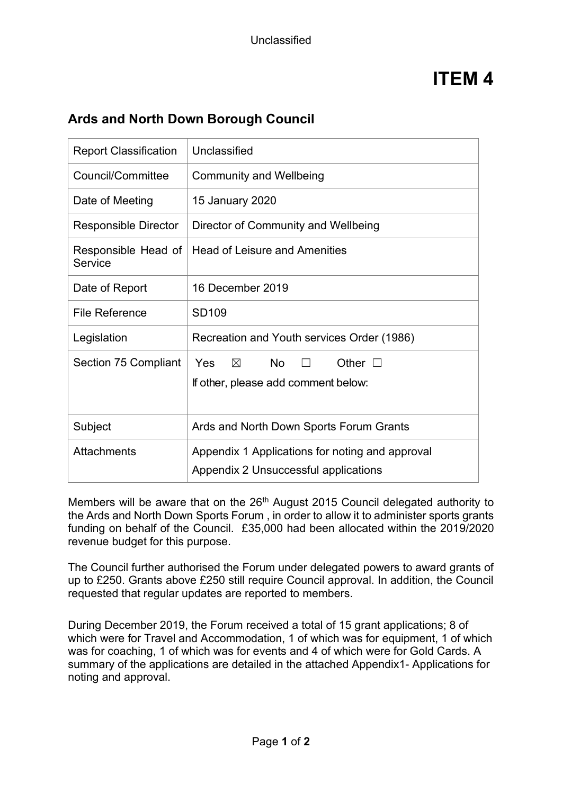## **Ards and North Down Borough Council**

| <b>Report Classification</b>   | Unclassified                                                                                        |
|--------------------------------|-----------------------------------------------------------------------------------------------------|
| Council/Committee              | <b>Community and Wellbeing</b>                                                                      |
| Date of Meeting                | <b>15 January 2020</b>                                                                              |
| <b>Responsible Director</b>    | Director of Community and Wellbeing                                                                 |
| Responsible Head of<br>Service | <b>Head of Leisure and Amenities</b>                                                                |
| Date of Report                 | 16 December 2019                                                                                    |
| <b>File Reference</b>          | <b>SD109</b>                                                                                        |
| Legislation                    | Recreation and Youth services Order (1986)                                                          |
| Section 75 Compliant           | <b>No</b><br>Yes<br>$\boxtimes$<br>Other $\square$<br>$\Box$<br>If other, please add comment below: |
| Subject                        | Ards and North Down Sports Forum Grants                                                             |
| Attachments                    | Appendix 1 Applications for noting and approval<br>Appendix 2 Unsuccessful applications             |

Members will be aware that on the 26<sup>th</sup> August 2015 Council delegated authority to the Ards and North Down Sports Forum , in order to allow it to administer sports grants funding on behalf of the Council. £35,000 had been allocated within the 2019/2020 revenue budget for this purpose.

The Council further authorised the Forum under delegated powers to award grants of up to £250. Grants above £250 still require Council approval. In addition, the Council requested that regular updates are reported to members.

During December 2019, the Forum received a total of 15 grant applications; 8 of which were for Travel and Accommodation, 1 of which was for equipment, 1 of which was for coaching, 1 of which was for events and 4 of which were for Gold Cards. A summary of the applications are detailed in the attached Appendix1- Applications for noting and approval.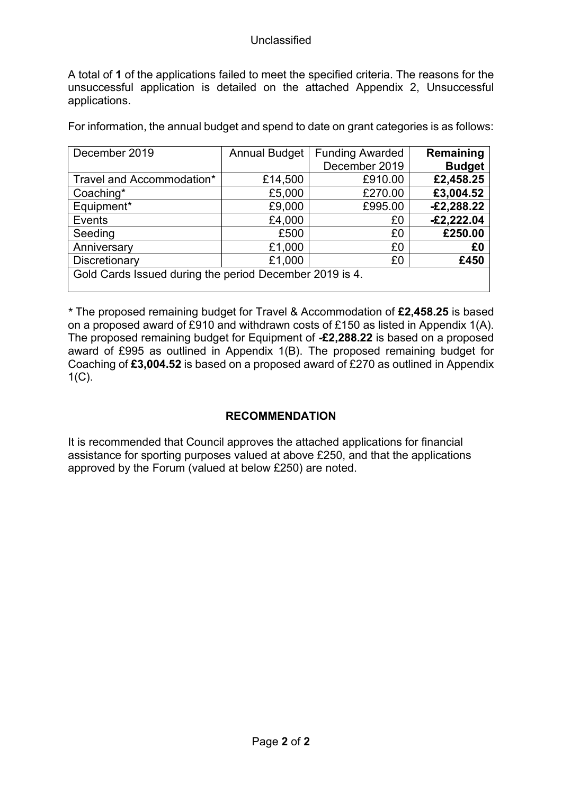A total of **1** of the applications failed to meet the specified criteria. The reasons for the unsuccessful application is detailed on the attached Appendix 2, Unsuccessful applications.

For information, the annual budget and spend to date on grant categories is as follows:

| December 2019                                           | <b>Annual Budget</b> | <b>Funding Awarded</b> | Remaining     |  |  |  |  |
|---------------------------------------------------------|----------------------|------------------------|---------------|--|--|--|--|
|                                                         |                      | December 2019          | <b>Budget</b> |  |  |  |  |
| Travel and Accommodation*                               | £14,500              | £910.00                | £2,458.25     |  |  |  |  |
| Coaching*                                               | £5,000               | £270.00                | £3,004.52     |  |  |  |  |
| Equipment*                                              | £9,000               | £995.00                | $-E2,288.22$  |  |  |  |  |
| Events                                                  | £4,000               | £0                     | $-£2,222.04$  |  |  |  |  |
| Seeding                                                 | £500                 | £0                     | £250.00       |  |  |  |  |
| Anniversary                                             | £1,000               | £0                     | £0            |  |  |  |  |
| Discretionary                                           | £1,000               | £0                     | £450          |  |  |  |  |
| Gold Cards Issued during the period December 2019 is 4. |                      |                        |               |  |  |  |  |

*\** The proposed remaining budget for Travel & Accommodation of **£2,458.25** is based on a proposed award of £910 and withdrawn costs of £150 as listed in Appendix 1(A). The proposed remaining budget for Equipment of **-£2,288.22** is based on a proposed award of £995 as outlined in Appendix 1(B). The proposed remaining budget for Coaching of **£3,004.52** is based on a proposed award of £270 as outlined in Appendix  $1(C)$ .

### **RECOMMENDATION**

It is recommended that Council approves the attached applications for financial assistance for sporting purposes valued at above £250, and that the applications approved by the Forum (valued at below £250) are noted.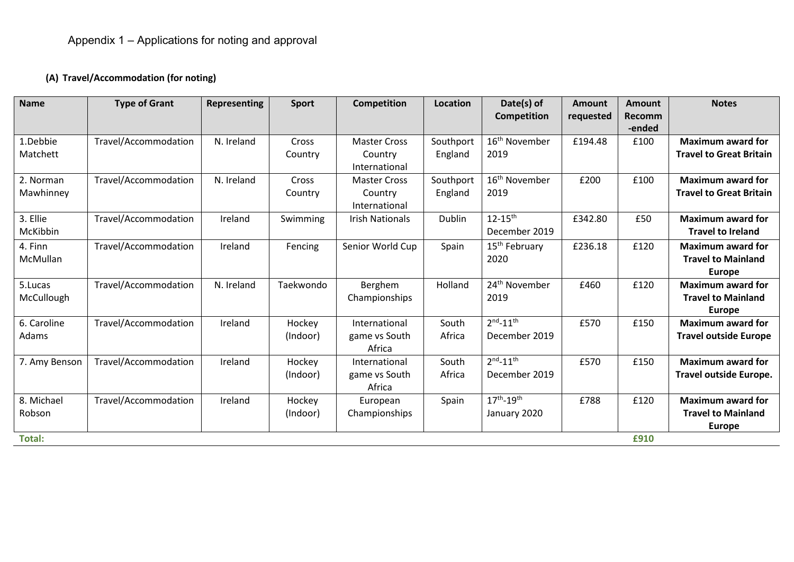## **(A) Travel/Accommodation (for noting)**

| <b>Name</b>   | <b>Type of Grant</b> | Representing | <b>Sport</b> | Competition            | Location  | Date(s) of<br><b>Competition</b> | <b>Amount</b><br>requested | <b>Amount</b><br><b>Recomm</b> | <b>Notes</b>                   |
|---------------|----------------------|--------------|--------------|------------------------|-----------|----------------------------------|----------------------------|--------------------------------|--------------------------------|
|               |                      |              |              |                        |           |                                  |                            | -ended                         |                                |
| 1.Debbie      | Travel/Accommodation | N. Ireland   | Cross        | <b>Master Cross</b>    | Southport | 16 <sup>th</sup> November        | £194.48                    | £100                           | <b>Maximum award for</b>       |
| Matchett      |                      |              | Country      | Country                | England   | 2019                             |                            |                                | <b>Travel to Great Britain</b> |
|               |                      |              |              | International          |           |                                  |                            |                                |                                |
| 2. Norman     | Travel/Accommodation | N. Ireland   | Cross        | <b>Master Cross</b>    | Southport | 16 <sup>th</sup> November        | £200                       | £100                           | <b>Maximum award for</b>       |
| Mawhinney     |                      |              | Country      | Country                | England   | 2019                             |                            |                                | <b>Travel to Great Britain</b> |
|               |                      |              |              | International          |           |                                  |                            |                                |                                |
| 3. Ellie      | Travel/Accommodation | Ireland      | Swimming     | <b>Irish Nationals</b> | Dublin    | $12 - 15^{th}$                   | £342.80                    | £50                            | <b>Maximum award for</b>       |
| McKibbin      |                      |              |              |                        |           | December 2019                    |                            |                                | <b>Travel to Ireland</b>       |
| 4. Finn       | Travel/Accommodation | Ireland      | Fencing      | Senior World Cup       | Spain     | 15 <sup>th</sup> February        | £236.18                    | £120                           | <b>Maximum award for</b>       |
| McMullan      |                      |              |              |                        |           | 2020                             |                            |                                | <b>Travel to Mainland</b>      |
|               |                      |              |              |                        |           |                                  |                            |                                | <b>Europe</b>                  |
| 5.Lucas       | Travel/Accommodation | N. Ireland   | Taekwondo    | Berghem                | Holland   | 24 <sup>th</sup> November        | £460                       | £120                           | <b>Maximum award for</b>       |
| McCullough    |                      |              |              | Championships          |           | 2019                             |                            |                                | <b>Travel to Mainland</b>      |
|               |                      |              |              |                        |           |                                  |                            |                                | <b>Europe</b>                  |
| 6. Caroline   | Travel/Accommodation | Ireland      | Hockey       | International          | South     | $2^{nd} - 11^{th}$               | £570                       | £150                           | <b>Maximum award for</b>       |
| Adams         |                      |              | (Indoor)     | game vs South          | Africa    | December 2019                    |                            |                                | <b>Travel outside Europe</b>   |
|               |                      |              |              | Africa                 |           |                                  |                            |                                |                                |
| 7. Amy Benson | Travel/Accommodation | Ireland      | Hockey       | International          | South     | $2^{nd} - 11^{th}$               | £570                       | £150                           | <b>Maximum award for</b>       |
|               |                      |              | (Indoor)     | game vs South          | Africa    | December 2019                    |                            |                                | Travel outside Europe.         |
|               |                      |              |              | Africa                 |           |                                  |                            |                                |                                |
| 8. Michael    | Travel/Accommodation | Ireland      | Hockey       | European               | Spain     | $17^{th} - 19^{th}$              | £788                       | £120                           | <b>Maximum award for</b>       |
| Robson        |                      |              | (Indoor)     | Championships          |           | January 2020                     |                            |                                | <b>Travel to Mainland</b>      |
|               |                      |              |              |                        |           |                                  |                            |                                | <b>Europe</b>                  |
| <b>Total:</b> |                      |              |              |                        |           |                                  |                            | £910                           |                                |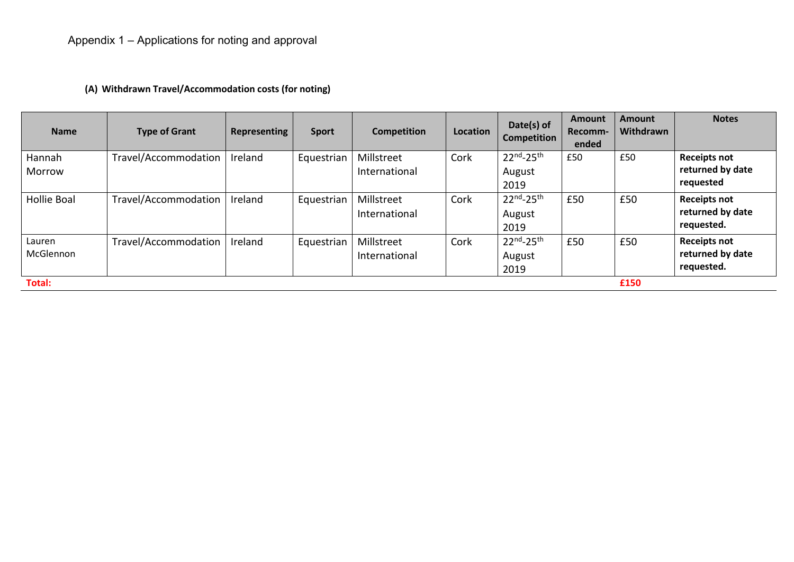## **(A) Withdrawn Travel/Accommodation costs (for noting)**

| <b>Name</b>         | <b>Type of Grant</b> | <b>Representing</b> | <b>Sport</b> | <b>Competition</b>          | Location | Date(s) of<br><b>Competition</b>      | Amount<br>Recomm-<br>ended | <b>Amount</b><br>Withdrawn | <b>Notes</b>                                          |
|---------------------|----------------------|---------------------|--------------|-----------------------------|----------|---------------------------------------|----------------------------|----------------------------|-------------------------------------------------------|
| Hannah<br>Morrow    | Travel/Accommodation | Ireland             | Equestrian   | Millstreet<br>International | Cork     | $22^{nd} - 25^{th}$<br>August<br>2019 | £50                        | £50                        | <b>Receipts not</b><br>returned by date<br>requested  |
| <b>Hollie Boal</b>  | Travel/Accommodation | Ireland             | Equestrian   | Millstreet<br>International | Cork     | $22^{nd} - 25^{th}$<br>August<br>2019 | £50                        | £50                        | <b>Receipts not</b><br>returned by date<br>requested. |
| Lauren<br>McGlennon | Travel/Accommodation | Ireland             | Equestrian   | Millstreet<br>International | Cork     | $22^{nd} - 25^{th}$<br>August<br>2019 | £50                        | £50                        | <b>Receipts not</b><br>returned by date<br>requested. |
| <b>Total:</b>       |                      |                     |              |                             |          |                                       |                            | £150                       |                                                       |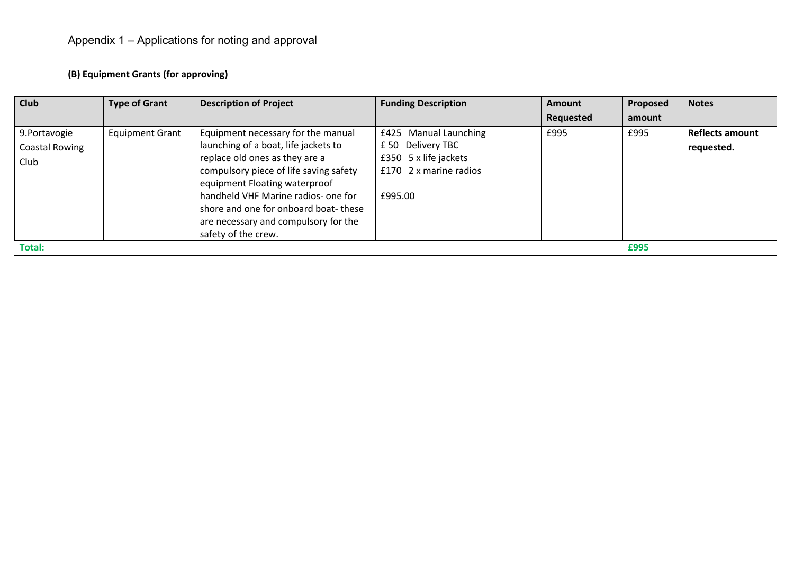## **(B) Equipment Grants (for approving)**

| Club                                    | <b>Type of Grant</b>   | <b>Description of Project</b>                                                                                                                                                                                                                                                                                                         | <b>Funding Description</b>                                                                                     | <b>Amount</b> | Proposed | <b>Notes</b>                         |
|-----------------------------------------|------------------------|---------------------------------------------------------------------------------------------------------------------------------------------------------------------------------------------------------------------------------------------------------------------------------------------------------------------------------------|----------------------------------------------------------------------------------------------------------------|---------------|----------|--------------------------------------|
|                                         |                        |                                                                                                                                                                                                                                                                                                                                       |                                                                                                                | Requested     | amount   |                                      |
| 9. Portavogie<br>Coastal Rowing<br>Club | <b>Equipment Grant</b> | Equipment necessary for the manual<br>launching of a boat, life jackets to<br>replace old ones as they are a<br>compulsory piece of life saving safety<br>equipment Floating waterproof<br>handheld VHF Marine radios- one for<br>shore and one for onboard boat-these<br>are necessary and compulsory for the<br>safety of the crew. | £425 Manual Launching<br>£50 Delivery TBC<br>£350 $5 \times$ life jackets<br>£170 2 x marine radios<br>£995.00 | £995          | £995     | <b>Reflects amount</b><br>requested. |
| Total:                                  |                        |                                                                                                                                                                                                                                                                                                                                       |                                                                                                                |               | £995     |                                      |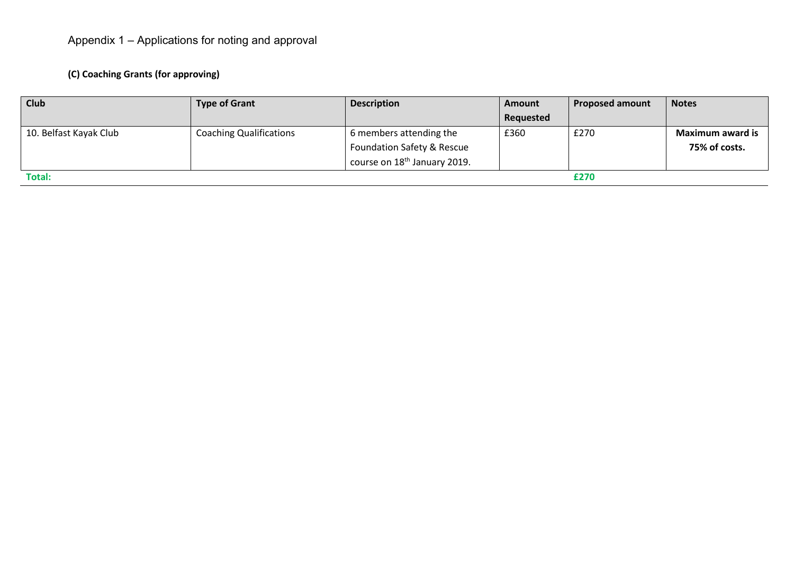## **(C) Coaching Grants (for approving)**

| <b>Club</b>            | <b>Type of Grant</b>           | <b>Description</b>                       | <b>Amount</b> | <b>Proposed amount</b> | <b>Notes</b>            |
|------------------------|--------------------------------|------------------------------------------|---------------|------------------------|-------------------------|
|                        |                                |                                          | Requested     |                        |                         |
| 10. Belfast Kayak Club | <b>Coaching Qualifications</b> | 6 members attending the                  | £360          | £270                   | <b>Maximum award is</b> |
|                        |                                | Foundation Safety & Rescue               |               |                        | 75% of costs.           |
|                        |                                | course on 18 <sup>th</sup> January 2019. |               |                        |                         |
| <b>Total:</b>          |                                |                                          |               | £270                   |                         |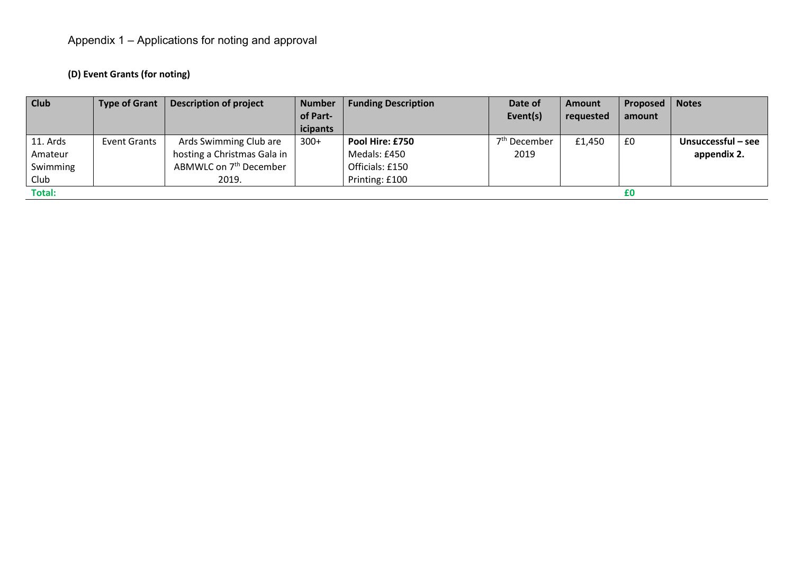## **(D) Event Grants (for noting)**

| <b>Club</b>   | <b>Type of Grant</b> | <b>Description of project</b>      | <b>Number</b> | <b>Funding Description</b> | Date of                  | <b>Amount</b> | Proposed | <b>Notes</b>       |
|---------------|----------------------|------------------------------------|---------------|----------------------------|--------------------------|---------------|----------|--------------------|
|               |                      |                                    | of Part-      |                            | Event(s)                 | requested     | amount   |                    |
|               |                      |                                    | icipants      |                            |                          |               |          |                    |
| 11. Ards      | Event Grants         | Ards Swimming Club are             | $300+$        | Pool Hire: £750            | 7 <sup>th</sup> December | £1,450        | £0       | Unsuccessful - see |
| Amateur       |                      | hosting a Christmas Gala in        |               | Medals: £450               | 2019                     |               |          | appendix 2.        |
| Swimming      |                      | ABMWLC on 7 <sup>th</sup> December |               | Officials: £150            |                          |               |          |                    |
| Club          |                      | 2019.                              |               | Printing: £100             |                          |               |          |                    |
| <b>Total:</b> |                      |                                    |               |                            |                          |               | £Ο       |                    |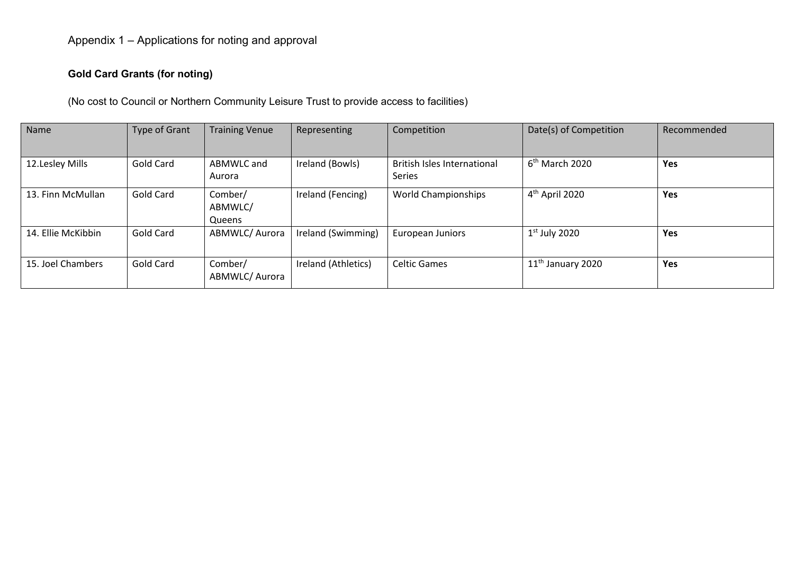#### **Gold Card Grants (for noting)**

(No cost to Council or Northern Community Leisure Trust to provide access to facilities)

| Name               | <b>Type of Grant</b> | <b>Training Venue</b>        | Representing        | Competition                                  | Date(s) of Competition        | Recommended |
|--------------------|----------------------|------------------------------|---------------------|----------------------------------------------|-------------------------------|-------------|
| 12.Lesley Mills    | Gold Card            | ABMWLC and<br>Aurora         | Ireland (Bowls)     | <b>British Isles International</b><br>Series | $6th$ March 2020              | Yes         |
| 13. Finn McMullan  | Gold Card            | Comber/<br>ABMWLC/<br>Queens | Ireland (Fencing)   | <b>World Championships</b>                   | 4 <sup>th</sup> April 2020    | Yes         |
| 14. Ellie McKibbin | Gold Card            | ABMWLC/ Aurora               | Ireland (Swimming)  | European Juniors                             | $1st$ July 2020               | <b>Yes</b>  |
| 15. Joel Chambers  | Gold Card            | Comber/<br>ABMWLC/ Aurora    | Ireland (Athletics) | <b>Celtic Games</b>                          | 11 <sup>th</sup> January 2020 | Yes         |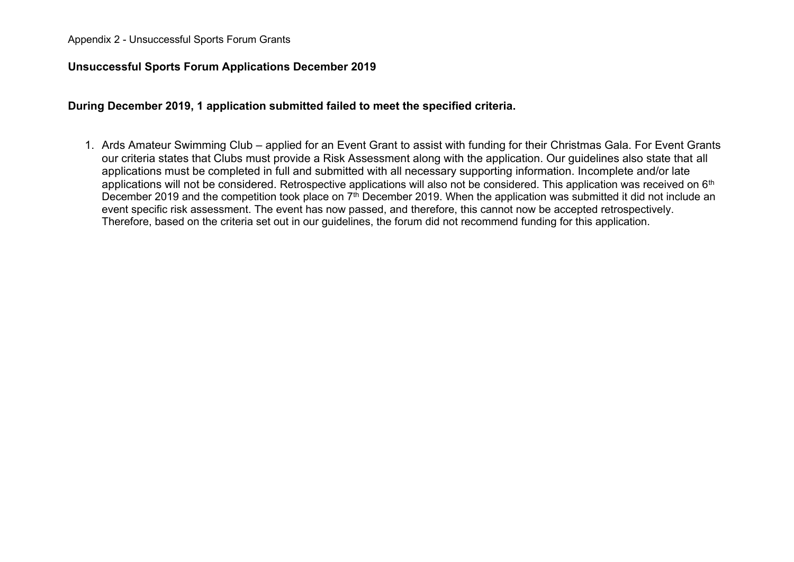#### Appendix 2 - Unsuccessful Sports Forum Grants

#### **Unsuccessful Sports Forum Applications December 2019**

**During December 2019, 1 application submitted failed to meet the specified criteria.**

1. Ards Amateur Swimming Club – applied for an Event Grant to assist with funding for their Christmas Gala. For Event Grants our criteria states that Clubs must provide a Risk Assessment along with the application. Our guidelines also state that all applications must be completed in full and submitted with all necessary supporting information. Incomplete and/or late applications will not be considered. Retrospective applications will also not be considered. This application was received on 6<sup>th</sup> December 2019 and the competition took place on 7<sup>th</sup> December 2019. When the application was submitted it did not include an event specific risk assessment. The event has now passed, and therefore, this cannot now be accepted retrospectively. Therefore, based on the criteria set out in our guidelines, the forum did not recommend funding for this application.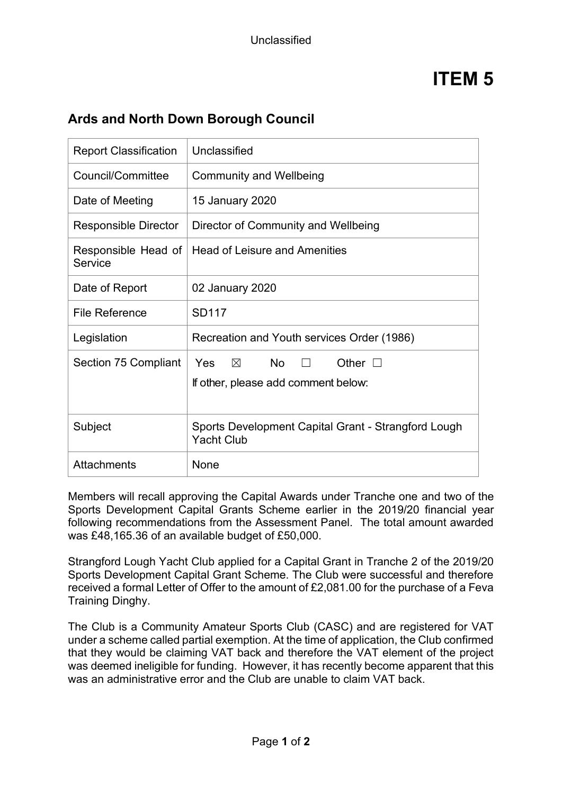## **Ards and North Down Borough Council**

| <b>Report Classification</b>   | Unclassified                                                                               |
|--------------------------------|--------------------------------------------------------------------------------------------|
| Council/Committee              | <b>Community and Wellbeing</b>                                                             |
| Date of Meeting                | 15 January 2020                                                                            |
| <b>Responsible Director</b>    | Director of Community and Wellbeing                                                        |
| Responsible Head of<br>Service | <b>Head of Leisure and Amenities</b>                                                       |
| Date of Report                 | 02 January 2020                                                                            |
| <b>File Reference</b>          | <b>SD117</b>                                                                               |
| Legislation                    | Recreation and Youth services Order (1986)                                                 |
| Section 75 Compliant           | No<br>Yes<br>$\times$<br>Other $\square$<br>$\perp$<br>If other, please add comment below: |
| Subject                        | Sports Development Capital Grant - Strangford Lough<br><b>Yacht Club</b>                   |
| Attachments                    | None                                                                                       |

Members will recall approving the Capital Awards under Tranche one and two of the Sports Development Capital Grants Scheme earlier in the 2019/20 financial year following recommendations from the Assessment Panel. The total amount awarded was £48,165.36 of an available budget of £50,000.

Strangford Lough Yacht Club applied for a Capital Grant in Tranche 2 of the 2019/20 Sports Development Capital Grant Scheme. The Club were successful and therefore received a formal Letter of Offer to the amount of £2,081.00 for the purchase of a Feva Training Dinghy.

The Club is a Community Amateur Sports Club (CASC) and are registered for VAT under a scheme called partial exemption. At the time of application, the Club confirmed that they would be claiming VAT back and therefore the VAT element of the project was deemed ineligible for funding. However, it has recently become apparent that this was an administrative error and the Club are unable to claim VAT back.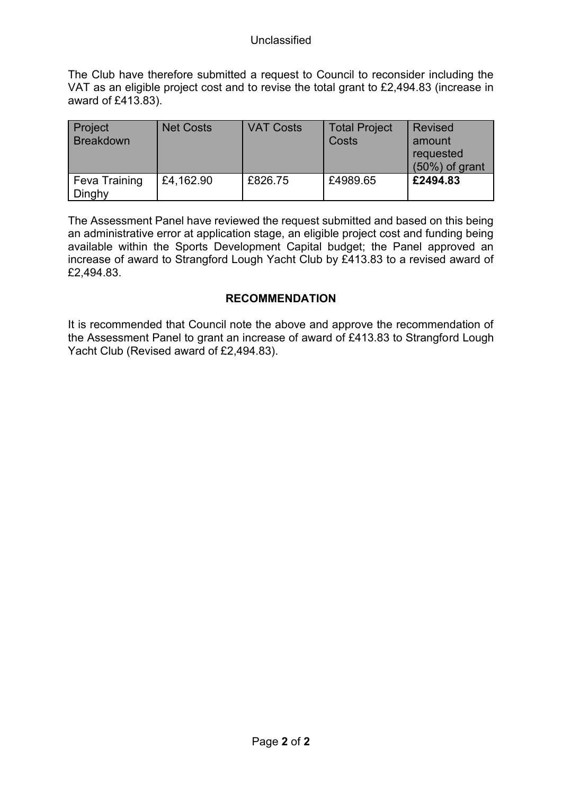The Club have therefore submitted a request to Council to reconsider including the VAT as an eligible project cost and to revise the total grant to £2,494.83 (increase in award of £413.83).

| Project<br><b>Breakdown</b>    | <b>Net Costs</b> | <b>VAT Costs</b> | <b>Total Project</b><br>Costs | <b>Revised</b><br>amount<br>requested<br>$(50\%)$ of grant |
|--------------------------------|------------------|------------------|-------------------------------|------------------------------------------------------------|
| <b>Feva Training</b><br>Dinghy | £4,162.90        | £826.75          | £4989.65                      | £2494.83                                                   |

The Assessment Panel have reviewed the request submitted and based on this being an administrative error at application stage, an eligible project cost and funding being available within the Sports Development Capital budget; the Panel approved an increase of award to Strangford Lough Yacht Club by £413.83 to a revised award of £2,494.83.

### **RECOMMENDATION**

It is recommended that Council note the above and approve the recommendation of the Assessment Panel to grant an increase of award of £413.83 to Strangford Lough Yacht Club (Revised award of £2,494.83).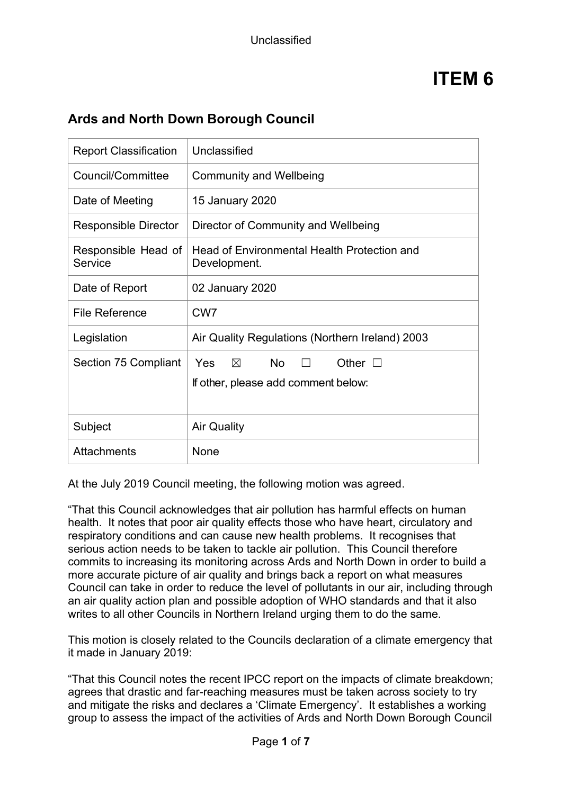| <b>Report Classification</b>   | Unclassified                                                                                |
|--------------------------------|---------------------------------------------------------------------------------------------|
| Council/Committee              | <b>Community and Wellbeing</b>                                                              |
| Date of Meeting                | 15 January 2020                                                                             |
| <b>Responsible Director</b>    | Director of Community and Wellbeing                                                         |
| Responsible Head of<br>Service | <b>Head of Environmental Health Protection and</b><br>Development.                          |
| Date of Report                 | 02 January 2020                                                                             |
| <b>File Reference</b>          | CW <sub>7</sub>                                                                             |
| Legislation                    | Air Quality Regulations (Northern Ireland) 2003                                             |
| Section 75 Compliant           | No<br><b>Yes</b><br>$\times$<br>Other $\square$<br>П<br>If other, please add comment below: |
| Subject                        | <b>Air Quality</b>                                                                          |
| <b>Attachments</b>             | None                                                                                        |

## **Ards and North Down Borough Council**

At the July 2019 Council meeting, the following motion was agreed.

"That this Council acknowledges that air pollution has harmful effects on human health. It notes that poor air quality effects those who have heart, circulatory and respiratory conditions and can cause new health problems. It recognises that serious action needs to be taken to tackle air pollution. This Council therefore commits to increasing its monitoring across Ards and North Down in order to build a more accurate picture of air quality and brings back a report on what measures Council can take in order to reduce the level of pollutants in our air, including through an air quality action plan and possible adoption of WHO standards and that it also writes to all other Councils in Northern Ireland urging them to do the same.

This motion is closely related to the Councils declaration of a climate emergency that it made in January 2019:

"That this Council notes the recent IPCC report on the impacts of climate breakdown; agrees that drastic and far-reaching measures must be taken across society to try and mitigate the risks and declares a 'Climate Emergency'. It establishes a working group to assess the impact of the activities of Ards and North Down Borough Council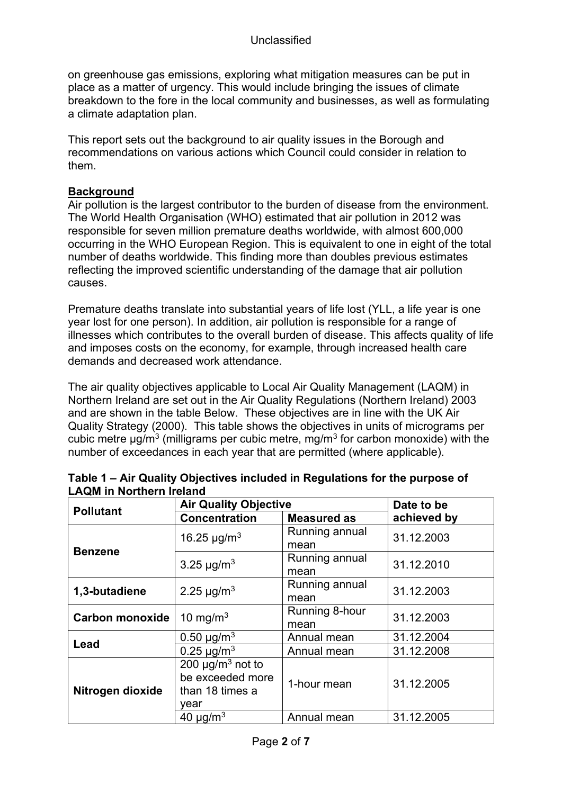on greenhouse gas emissions, exploring what mitigation measures can be put in place as a matter of urgency. This would include bringing the issues of climate breakdown to the fore in the local community and businesses, as well as formulating a climate adaptation plan.

This report sets out the background to air quality issues in the Borough and recommendations on various actions which Council could consider in relation to them.

#### **Background**

Air pollution is the largest contributor to the burden of disease from the environment. The World Health Organisation (WHO) estimated that air pollution in 2012 was responsible for seven million premature deaths worldwide, with almost 600,000 occurring in the WHO European Region. This is equivalent to one in eight of the total number of deaths worldwide. This finding more than doubles previous estimates reflecting the improved scientific understanding of the damage that air pollution causes.

Premature deaths translate into substantial years of life lost (YLL, a life year is one year lost for one person). In addition, air pollution is responsible for a range of illnesses which contributes to the overall burden of disease. This affects quality of life and imposes costs on the economy, for example, through increased health care demands and decreased work attendance.

The air quality objectives applicable to Local Air Quality Management (LAQM) in Northern Ireland are set out in the Air Quality Regulations (Northern Ireland) 2003 and are shown in the table Below. These objectives are in line with the UK Air Quality Strategy (2000). This table shows the objectives in units of micrograms per cubic metre  $\mu$ g/m<sup>3</sup> (milligrams per cubic metre, mg/m<sup>3</sup> for carbon monoxide) with the number of exceedances in each year that are permitted (where applicable).

| <b>Pollutant</b>       | <b>Air Quality Objective</b>                                                     |                        | Date to be  |
|------------------------|----------------------------------------------------------------------------------|------------------------|-------------|
|                        | <b>Concentration</b>                                                             | <b>Measured as</b>     | achieved by |
| <b>Benzene</b>         | 16.25 $\mu$ g/m <sup>3</sup>                                                     | Running annual<br>mean | 31.12.2003  |
|                        | 3.25 $\mu$ g/m <sup>3</sup>                                                      | Running annual<br>mean | 31.12.2010  |
| 1,3-butadiene          | 2.25 $\mu$ g/m <sup>3</sup>                                                      | Running annual<br>mean | 31.12.2003  |
| <b>Carbon monoxide</b> | 10 mg/m $3$                                                                      | Running 8-hour<br>mean | 31.12.2003  |
| Lead                   | 0.50 $\mu$ g/m <sup>3</sup>                                                      | Annual mean            | 31.12.2004  |
|                        | $0.25 \mu g/m^3$                                                                 | Annual mean            | 31.12.2008  |
| Nitrogen dioxide       | 200 $\mu$ g/m <sup>3</sup> not to<br>be exceeded more<br>than 18 times a<br>year | 1-hour mean            | 31.12.2005  |
|                        | 40 $\mu$ g/m <sup>3</sup>                                                        | Annual mean            | 31.12.2005  |

| Table 1 – Air Quality Objectives included in Regulations for the purpose of |  |
|-----------------------------------------------------------------------------|--|
| <b>LAQM in Northern Ireland</b>                                             |  |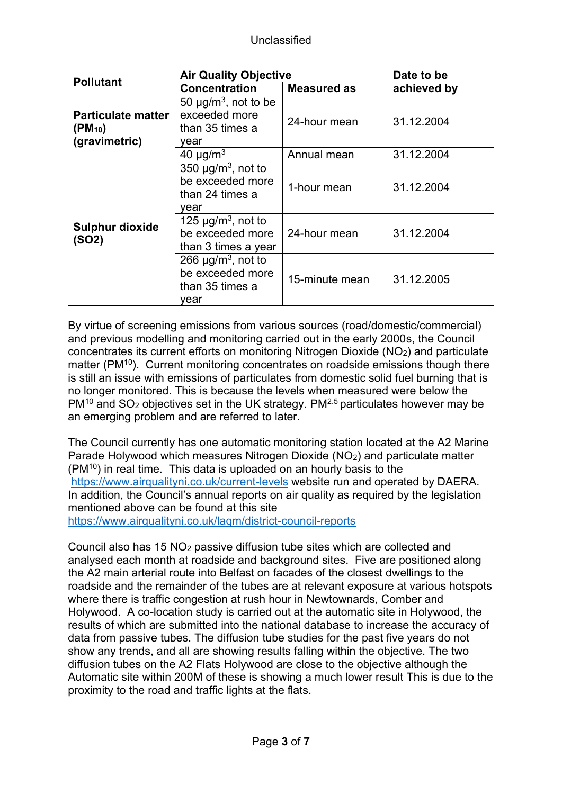| <b>Pollutant</b>                                          | <b>Air Quality Objective</b>                                                       | Date to be         |             |
|-----------------------------------------------------------|------------------------------------------------------------------------------------|--------------------|-------------|
|                                                           | <b>Concentration</b>                                                               | <b>Measured as</b> | achieved by |
| <b>Particulate matter</b><br>$(PM_{10})$<br>(gravimetric) | 50 $\mu$ g/m <sup>3</sup> , not to be<br>exceeded more<br>than 35 times a<br>vear  | 24-hour mean       | 31.12.2004  |
|                                                           | 40 $\mu$ g/m <sup>3</sup>                                                          | Annual mean        | 31.12.2004  |
|                                                           | 350 $\mu$ g/m <sup>3</sup> , not to<br>be exceeded more<br>than 24 times a<br>vear | 1-hour mean        | 31.12.2004  |
| <b>Sulphur dioxide</b><br>(SO2)                           | 125 $\mu$ g/m <sup>3</sup> , not to<br>be exceeded more<br>than 3 times a year     | 24-hour mean       | 31.12.2004  |
|                                                           | 266 $\mu$ g/m <sup>3</sup> , not to<br>be exceeded more<br>than 35 times a<br>vear | 15-minute mean     | 31.12.2005  |

By virtue of screening emissions from various sources (road/domestic/commercial) and previous modelling and monitoring carried out in the early 2000s, the Council concentrates its current efforts on monitoring Nitrogen Dioxide (NO2) and particulate matter (PM<sup>10</sup>). Current monitoring concentrates on roadside emissions though there is still an issue with emissions of particulates from domestic solid fuel burning that is no longer monitored. This is because the levels when measured were below the  $PM^{10}$  and SO<sub>2</sub> objectives set in the UK strategy. PM<sup>2.5</sup> particulates however may be an emerging problem and are referred to later.

The Council currently has one automatic monitoring station located at the A2 Marine Parade Holywood which measures Nitrogen Dioxide (NO2) and particulate matter (PM<sup>10</sup>) in real time. This data is uploaded on an hourly basis to the <https://www.airqualityni.co.uk/current-levels> website run and operated by DAERA. In addition, the Council's annual reports on air quality as required by the legislation mentioned above can be found at this site

<https://www.airqualityni.co.uk/laqm/district-council-reports>

Council also has 15 NO<sup>2</sup> passive diffusion tube sites which are collected and analysed each month at roadside and background sites. Five are positioned along the A2 main arterial route into Belfast on facades of the closest dwellings to the roadside and the remainder of the tubes are at relevant exposure at various hotspots where there is traffic congestion at rush hour in Newtownards, Comber and Holywood. A co-location study is carried out at the automatic site in Holywood, the results of which are submitted into the national database to increase the accuracy of data from passive tubes. The diffusion tube studies for the past five years do not show any trends, and all are showing results falling within the objective. The two diffusion tubes on the A2 Flats Holywood are close to the objective although the Automatic site within 200M of these is showing a much lower result This is due to the proximity to the road and traffic lights at the flats.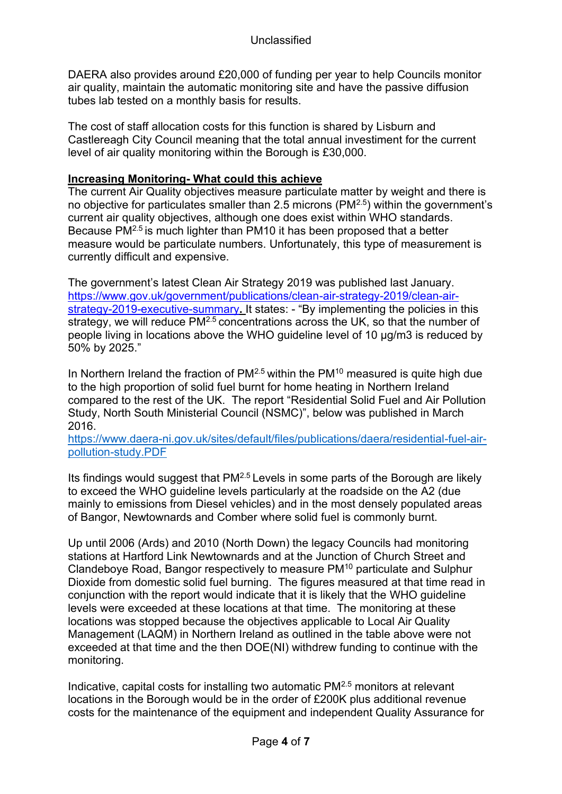DAERA also provides around £20,000 of funding per year to help Councils monitor air quality, maintain the automatic monitoring site and have the passive diffusion tubes lab tested on a monthly basis for results.

The cost of staff allocation costs for this function is shared by Lisburn and Castlereagh City Council meaning that the total annual investiment for the current level of air quality monitoring within the Borough is £30,000.

#### **Increasing Monitoring- What could this achieve**

The current Air Quality objectives measure particulate matter by weight and there is no objective for particulates smaller than 2.5 microns (PM2.5) within the government's current air quality objectives, although one does exist within WHO standards. Because PM2.5 is much lighter than PM10 it has been proposed that a better measure would be particulate numbers. Unfortunately, this type of measurement is currently difficult and expensive.

The government's latest Clean Air Strategy 2019 was published last January. [https://www.gov.uk/government/publications/clean-air-strategy-2019/clean-air](https://www.gov.uk/government/publications/clean-air-strategy-2019/clean-air-strategy-2019-executive-summary)[strategy-2019-executive-summary](https://www.gov.uk/government/publications/clean-air-strategy-2019/clean-air-strategy-2019-executive-summary)**.** It states: - "By implementing the policies in this strategy, we will reduce PM<sup>2.5</sup> concentrations across the UK, so that the number of people living in locations above the WHO guideline level of 10 μg/m3 is reduced by 50% by 2025."

In Northern Ireland the fraction of  $PM^{2.5}$  within the  $PM^{10}$  measured is quite high due to the high proportion of solid fuel burnt for home heating in Northern Ireland compared to the rest of the UK. The report "Residential Solid Fuel and Air Pollution Study, North South Ministerial Council (NSMC)", below was published in March 2016.

[https://www.daera-ni.gov.uk/sites/default/files/publications/daera/residential-fuel-air](https://www.daera-ni.gov.uk/sites/default/files/publications/daera/residential-fuel-air-pollution-study.PDF)[pollution-study.PDF](https://www.daera-ni.gov.uk/sites/default/files/publications/daera/residential-fuel-air-pollution-study.PDF)

Its findings would suggest that  $PM^{2.5}$  Levels in some parts of the Borough are likely to exceed the WHO guideline levels particularly at the roadside on the A2 (due mainly to emissions from Diesel vehicles) and in the most densely populated areas of Bangor, Newtownards and Comber where solid fuel is commonly burnt.

Up until 2006 (Ards) and 2010 (North Down) the legacy Councils had monitoring stations at Hartford Link Newtownards and at the Junction of Church Street and Clandeboye Road, Bangor respectively to measure PM<sup>10</sup> particulate and Sulphur Dioxide from domestic solid fuel burning. The figures measured at that time read in conjunction with the report would indicate that it is likely that the WHO guideline levels were exceeded at these locations at that time. The monitoring at these locations was stopped because the objectives applicable to Local Air Quality Management (LAQM) in Northern Ireland as outlined in the table above were not exceeded at that time and the then DOE(NI) withdrew funding to continue with the monitoring.

Indicative, capital costs for installing two automatic PM2.5 monitors at relevant locations in the Borough would be in the order of £200K plus additional revenue costs for the maintenance of the equipment and independent Quality Assurance for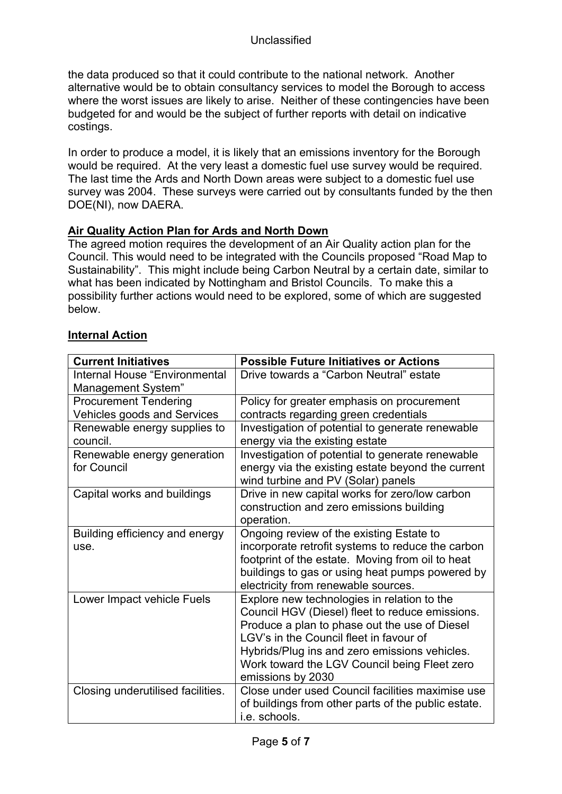the data produced so that it could contribute to the national network. Another alternative would be to obtain consultancy services to model the Borough to access where the worst issues are likely to arise. Neither of these contingencies have been budgeted for and would be the subject of further reports with detail on indicative costings.

In order to produce a model, it is likely that an emissions inventory for the Borough would be required. At the very least a domestic fuel use survey would be required. The last time the Ards and North Down areas were subject to a domestic fuel use survey was 2004. These surveys were carried out by consultants funded by the then DOE(NI), now DAERA.

#### **Air Quality Action Plan for Ards and North Down**

The agreed motion requires the development of an Air Quality action plan for the Council. This would need to be integrated with the Councils proposed "Road Map to Sustainability". This might include being Carbon Neutral by a certain date, similar to what has been indicated by Nottingham and Bristol Councils. To make this a possibility further actions would need to be explored, some of which are suggested below.

#### **Internal Action**

| Investigation of potential to generate renewable    |
|-----------------------------------------------------|
| energy via the existing estate beyond the current   |
|                                                     |
|                                                     |
|                                                     |
|                                                     |
|                                                     |
| incorporate retrofit systems to reduce the carbon   |
|                                                     |
| buildings to gas or using heat pumps powered by     |
|                                                     |
|                                                     |
| Council HGV (Diesel) fleet to reduce emissions.     |
|                                                     |
|                                                     |
|                                                     |
|                                                     |
|                                                     |
| Close under used Council facilities maximise use    |
| of buildings from other parts of the public estate. |
|                                                     |
| Investigation of potential to generate renewable    |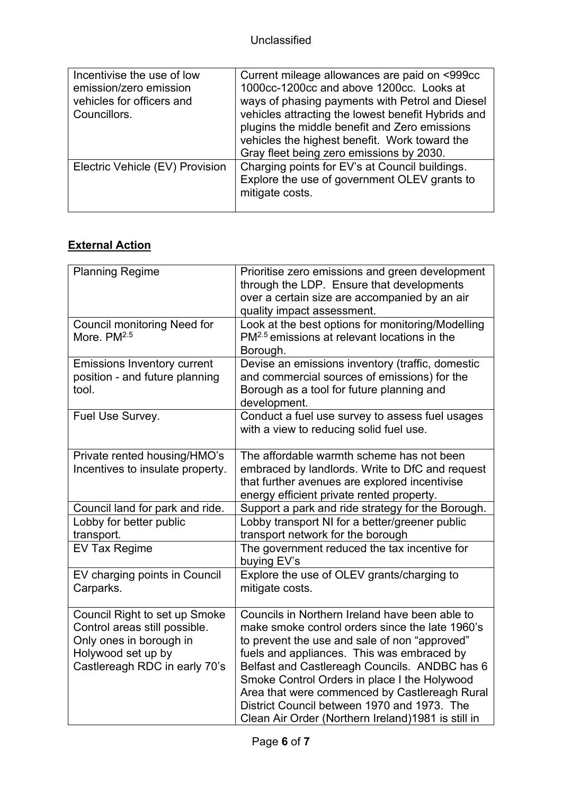| Incentivise the use of low      | Current mileage allowances are paid on <999cc      |
|---------------------------------|----------------------------------------------------|
| emission/zero emission          | 1000cc-1200cc and above 1200cc. Looks at           |
| vehicles for officers and       | ways of phasing payments with Petrol and Diesel    |
| Councillors.                    | vehicles attracting the lowest benefit Hybrids and |
|                                 | plugins the middle benefit and Zero emissions      |
|                                 | vehicles the highest benefit. Work toward the      |
|                                 | Gray fleet being zero emissions by 2030.           |
| Electric Vehicle (EV) Provision | Charging points for EV's at Council buildings.     |
|                                 | Explore the use of government OLEV grants to       |
|                                 | mitigate costs.                                    |
|                                 |                                                    |

## **External Action**

| <b>Planning Regime</b>                                                                                                                           | Prioritise zero emissions and green development<br>through the LDP. Ensure that developments<br>over a certain size are accompanied by an air<br>quality impact assessment.                                                                                                                                                                                                                                                                              |
|--------------------------------------------------------------------------------------------------------------------------------------------------|----------------------------------------------------------------------------------------------------------------------------------------------------------------------------------------------------------------------------------------------------------------------------------------------------------------------------------------------------------------------------------------------------------------------------------------------------------|
| <b>Council monitoring Need for</b><br>More, PM <sup>2.5</sup>                                                                                    | Look at the best options for monitoring/Modelling<br>PM <sup>2.5</sup> emissions at relevant locations in the<br>Borough.                                                                                                                                                                                                                                                                                                                                |
| <b>Emissions Inventory current</b><br>position - and future planning<br>tool.                                                                    | Devise an emissions inventory (traffic, domestic<br>and commercial sources of emissions) for the<br>Borough as a tool for future planning and<br>development.                                                                                                                                                                                                                                                                                            |
| Fuel Use Survey.                                                                                                                                 | Conduct a fuel use survey to assess fuel usages<br>with a view to reducing solid fuel use.                                                                                                                                                                                                                                                                                                                                                               |
| Private rented housing/HMO's<br>Incentives to insulate property.                                                                                 | The affordable warmth scheme has not been<br>embraced by landlords. Write to DfC and request<br>that further avenues are explored incentivise<br>energy efficient private rented property.                                                                                                                                                                                                                                                               |
| Council land for park and ride.                                                                                                                  | Support a park and ride strategy for the Borough.                                                                                                                                                                                                                                                                                                                                                                                                        |
| Lobby for better public                                                                                                                          | Lobby transport NI for a better/greener public                                                                                                                                                                                                                                                                                                                                                                                                           |
| transport.                                                                                                                                       | transport network for the borough                                                                                                                                                                                                                                                                                                                                                                                                                        |
| <b>EV Tax Regime</b>                                                                                                                             | The government reduced the tax incentive for<br>buying EV's                                                                                                                                                                                                                                                                                                                                                                                              |
| EV charging points in Council<br>Carparks.                                                                                                       | Explore the use of OLEV grants/charging to<br>mitigate costs.                                                                                                                                                                                                                                                                                                                                                                                            |
| Council Right to set up Smoke<br>Control areas still possible.<br>Only ones in borough in<br>Holywood set up by<br>Castlereagh RDC in early 70's | Councils in Northern Ireland have been able to<br>make smoke control orders since the late 1960's<br>to prevent the use and sale of non "approved"<br>fuels and appliances. This was embraced by<br>Belfast and Castlereagh Councils. ANDBC has 6<br>Smoke Control Orders in place I the Holywood<br>Area that were commenced by Castlereagh Rural<br>District Council between 1970 and 1973. The<br>Clean Air Order (Northern Ireland) 1981 is still in |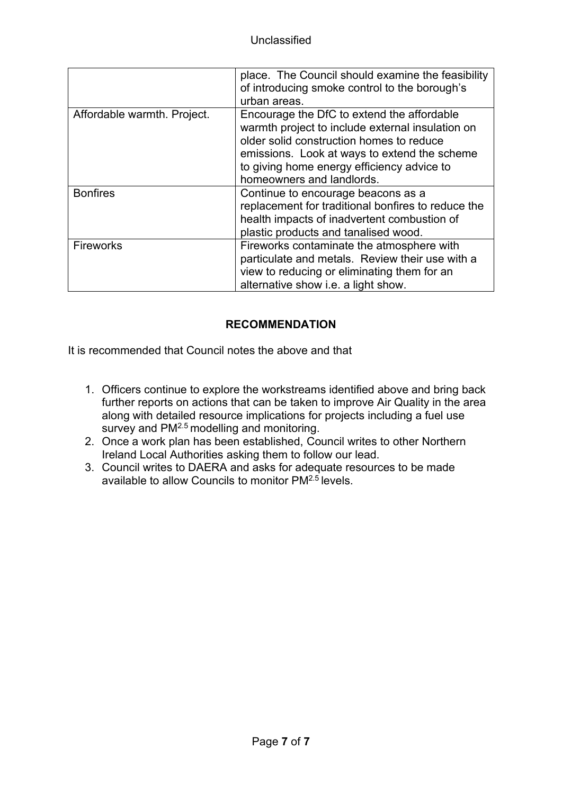|                             | place. The Council should examine the feasibility<br>of introducing smoke control to the borough's<br>urban areas.                                                                                                                                                    |
|-----------------------------|-----------------------------------------------------------------------------------------------------------------------------------------------------------------------------------------------------------------------------------------------------------------------|
| Affordable warmth. Project. | Encourage the DfC to extend the affordable<br>warmth project to include external insulation on<br>older solid construction homes to reduce<br>emissions. Look at ways to extend the scheme<br>to giving home energy efficiency advice to<br>homeowners and landlords. |
| <b>Bonfires</b>             | Continue to encourage beacons as a<br>replacement for traditional bonfires to reduce the<br>health impacts of inadvertent combustion of<br>plastic products and tanalised wood.                                                                                       |
| Fireworks                   | Fireworks contaminate the atmosphere with<br>particulate and metals. Review their use with a<br>view to reducing or eliminating them for an<br>alternative show i.e. a light show.                                                                                    |

### **RECOMMENDATION**

It is recommended that Council notes the above and that

- 1. Officers continue to explore the workstreams identified above and bring back further reports on actions that can be taken to improve Air Quality in the area along with detailed resource implications for projects including a fuel use survey and PM<sup>2.5</sup> modelling and monitoring.
- 2. Once a work plan has been established, Council writes to other Northern Ireland Local Authorities asking them to follow our lead.
- 3. Council writes to DAERA and asks for adequate resources to be made available to allow Councils to monitor PM<sup>2.5</sup> levels.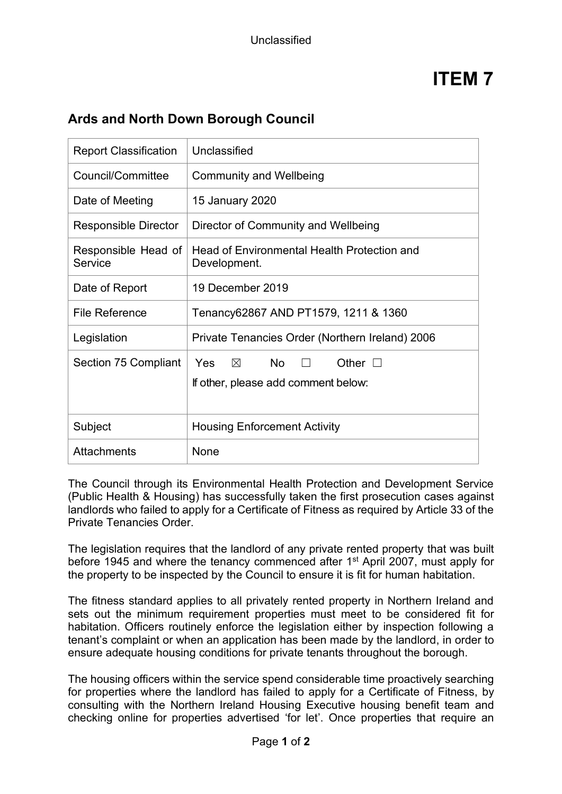| <b>Report Classification</b>   | Unclassified                                                                           |  |
|--------------------------------|----------------------------------------------------------------------------------------|--|
| Council/Committee              | <b>Community and Wellbeing</b>                                                         |  |
| Date of Meeting                | 15 January 2020                                                                        |  |
| <b>Responsible Director</b>    | Director of Community and Wellbeing                                                    |  |
| Responsible Head of<br>Service | Head of Environmental Health Protection and<br>Development.                            |  |
| Date of Report                 | 19 December 2019                                                                       |  |
| <b>File Reference</b>          | Tenancy62867 AND PT1579, 1211 & 1360                                                   |  |
| Legislation                    | Private Tenancies Order (Northern Ireland) 2006                                        |  |
| Section 75 Compliant           | Yes<br><b>No</b><br>Other $\Box$<br>$\boxtimes$<br>If other, please add comment below: |  |
| Subject                        | <b>Housing Enforcement Activity</b>                                                    |  |
| <b>Attachments</b>             | None                                                                                   |  |

## **Ards and North Down Borough Council**

The Council through its Environmental Health Protection and Development Service (Public Health & Housing) has successfully taken the first prosecution cases against landlords who failed to apply for a Certificate of Fitness as required by Article 33 of the Private Tenancies Order.

The legislation requires that the landlord of any private rented property that was built before 1945 and where the tenancy commenced after 1<sup>st</sup> April 2007, must apply for the property to be inspected by the Council to ensure it is fit for human habitation.

The fitness standard applies to all privately rented property in Northern Ireland and sets out the minimum requirement properties must meet to be considered fit for habitation. Officers routinely enforce the legislation either by inspection following a tenant's complaint or when an application has been made by the landlord, in order to ensure adequate housing conditions for private tenants throughout the borough.

The housing officers within the service spend considerable time proactively searching for properties where the landlord has failed to apply for a Certificate of Fitness, by consulting with the Northern Ireland Housing Executive housing benefit team and checking online for properties advertised 'for let'. Once properties that require an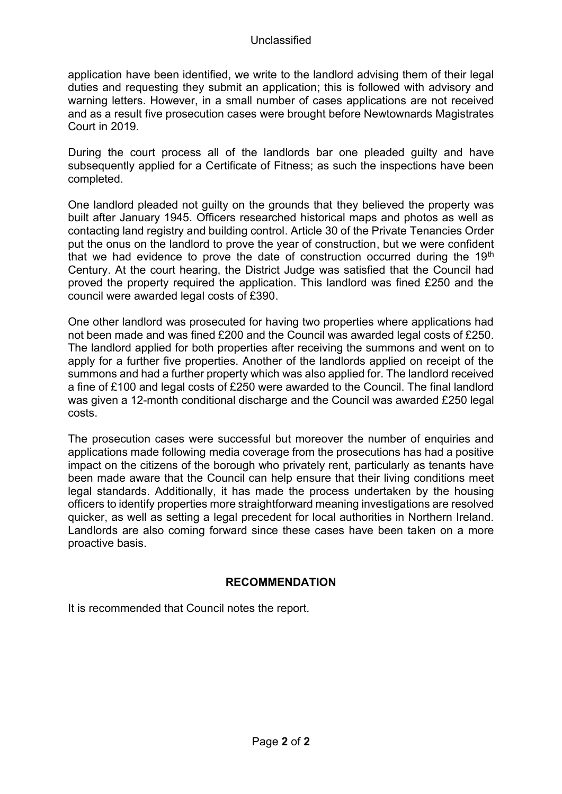application have been identified, we write to the landlord advising them of their legal duties and requesting they submit an application; this is followed with advisory and warning letters. However, in a small number of cases applications are not received and as a result five prosecution cases were brought before Newtownards Magistrates Court in 2019.

During the court process all of the landlords bar one pleaded guilty and have subsequently applied for a Certificate of Fitness; as such the inspections have been completed.

One landlord pleaded not guilty on the grounds that they believed the property was built after January 1945. Officers researched historical maps and photos as well as contacting land registry and building control. Article 30 of the Private Tenancies Order put the onus on the landlord to prove the year of construction, but we were confident that we had evidence to prove the date of construction occurred during the  $19<sup>th</sup>$ Century. At the court hearing, the District Judge was satisfied that the Council had proved the property required the application. This landlord was fined £250 and the council were awarded legal costs of £390.

One other landlord was prosecuted for having two properties where applications had not been made and was fined £200 and the Council was awarded legal costs of £250. The landlord applied for both properties after receiving the summons and went on to apply for a further five properties. Another of the landlords applied on receipt of the summons and had a further property which was also applied for. The landlord received a fine of £100 and legal costs of £250 were awarded to the Council. The final landlord was given a 12-month conditional discharge and the Council was awarded £250 legal costs.

The prosecution cases were successful but moreover the number of enquiries and applications made following media coverage from the prosecutions has had a positive impact on the citizens of the borough who privately rent, particularly as tenants have been made aware that the Council can help ensure that their living conditions meet legal standards. Additionally, it has made the process undertaken by the housing officers to identify properties more straightforward meaning investigations are resolved quicker, as well as setting a legal precedent for local authorities in Northern Ireland. Landlords are also coming forward since these cases have been taken on a more proactive basis.

#### **RECOMMENDATION**

It is recommended that Council notes the report.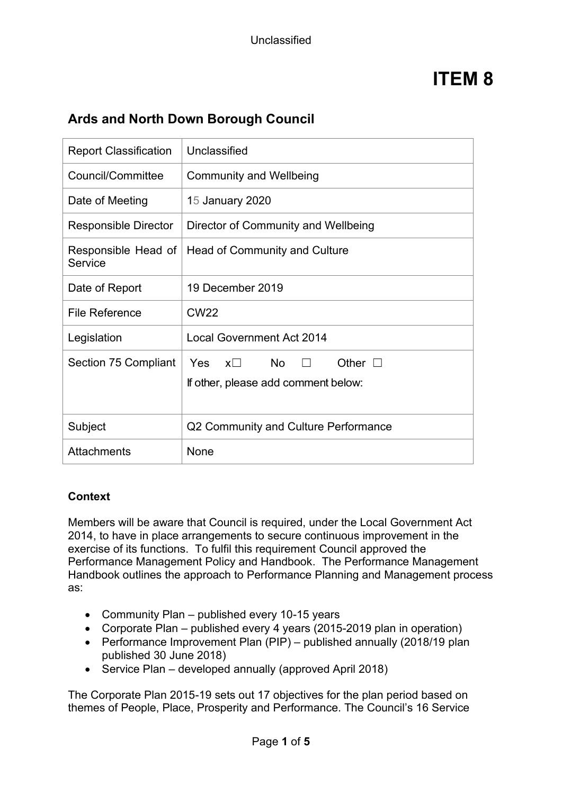## **Ards and North Down Borough Council**

| <b>Report Classification</b>   | Unclassified                                                                             |  |
|--------------------------------|------------------------------------------------------------------------------------------|--|
| Council/Committee              | <b>Community and Wellbeing</b>                                                           |  |
| Date of Meeting                | 15 January 2020                                                                          |  |
| <b>Responsible Director</b>    | Director of Community and Wellbeing                                                      |  |
| Responsible Head of<br>Service | Head of Community and Culture                                                            |  |
| Date of Report                 | 19 December 2019                                                                         |  |
| File Reference                 | CW <sub>22</sub>                                                                         |  |
| Legislation                    | <b>Local Government Act 2014</b>                                                         |  |
| Section 75 Compliant           | $x\square$ No<br><b>Yes</b><br>Other $\Box$<br>П.<br>If other, please add comment below: |  |
| Subject                        | Q2 Community and Culture Performance                                                     |  |
| <b>Attachments</b>             | <b>None</b>                                                                              |  |

#### **Context**

Members will be aware that Council is required, under the Local Government Act 2014, to have in place arrangements to secure continuous improvement in the exercise of its functions. To fulfil this requirement Council approved the Performance Management Policy and Handbook. The Performance Management Handbook outlines the approach to Performance Planning and Management process as:

- Community Plan published every 10-15 years
- Corporate Plan published every 4 years (2015-2019 plan in operation)
- Performance Improvement Plan (PIP) published annually (2018/19 plan published 30 June 2018)
- Service Plan developed annually (approved April 2018)

The Corporate Plan 2015-19 sets out 17 objectives for the plan period based on themes of People, Place, Prosperity and Performance. The Council's 16 Service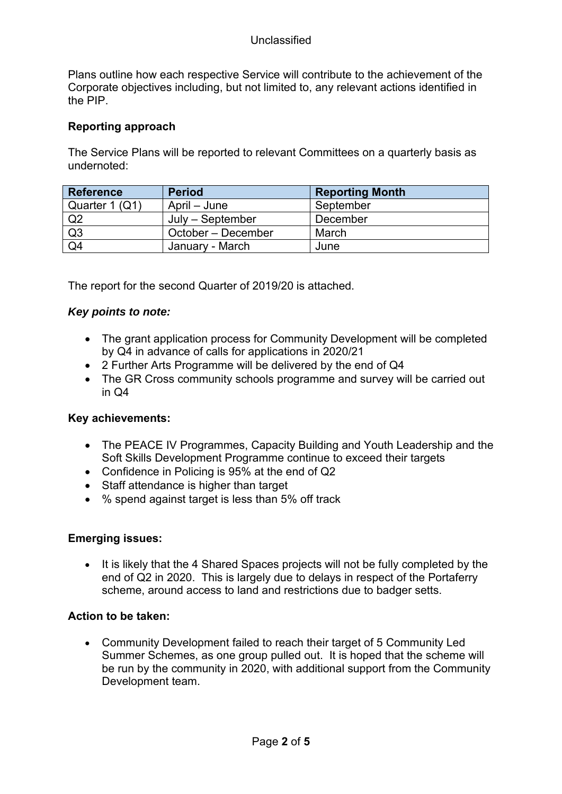Plans outline how each respective Service will contribute to the achievement of the Corporate objectives including, but not limited to, any relevant actions identified in the PIP.

#### **Reporting approach**

The Service Plans will be reported to relevant Committees on a quarterly basis as undernoted:

| <b>Reference</b> | <b>Period</b>      | <b>Reporting Month</b> |
|------------------|--------------------|------------------------|
| Quarter 1 (Q1)   | April – June       | September              |
| Q <sub>2</sub>   | $July - September$ | December               |
| Q3               | October – December | March                  |
| Q <sub>4</sub>   | January - March    | June                   |

The report for the second Quarter of 2019/20 is attached.

#### *Key points to note:*

- The grant application process for Community Development will be completed by Q4 in advance of calls for applications in 2020/21
- 2 Further Arts Programme will be delivered by the end of Q4
- The GR Cross community schools programme and survey will be carried out in Q4

#### **Key achievements:**

- The PEACE IV Programmes, Capacity Building and Youth Leadership and the Soft Skills Development Programme continue to exceed their targets
- Confidence in Policing is 95% at the end of Q2
- Staff attendance is higher than target
- % spend against target is less than 5% off track

#### **Emerging issues:**

• It is likely that the 4 Shared Spaces projects will not be fully completed by the end of Q2 in 2020. This is largely due to delays in respect of the Portaferry scheme, around access to land and restrictions due to badger setts.

#### **Action to be taken:**

• Community Development failed to reach their target of 5 Community Led Summer Schemes, as one group pulled out. It is hoped that the scheme will be run by the community in 2020, with additional support from the Community Development team.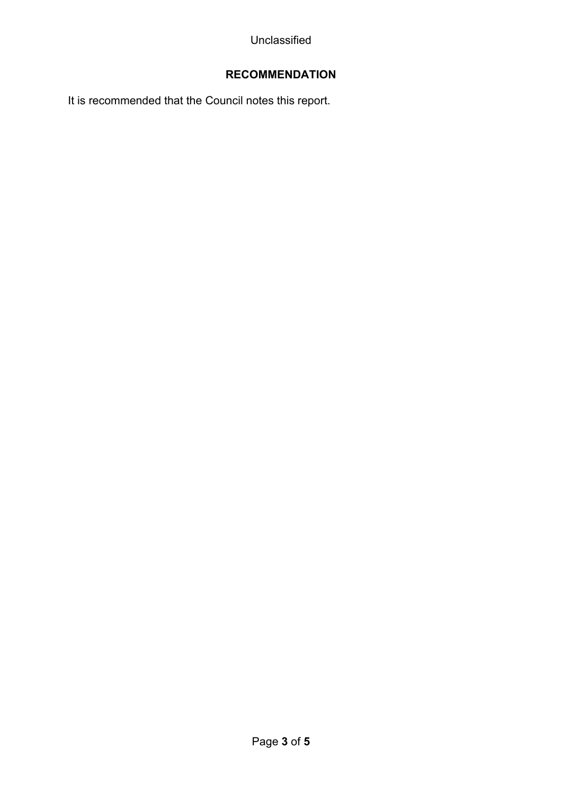## **RECOMMENDATION**

It is recommended that the Council notes this report.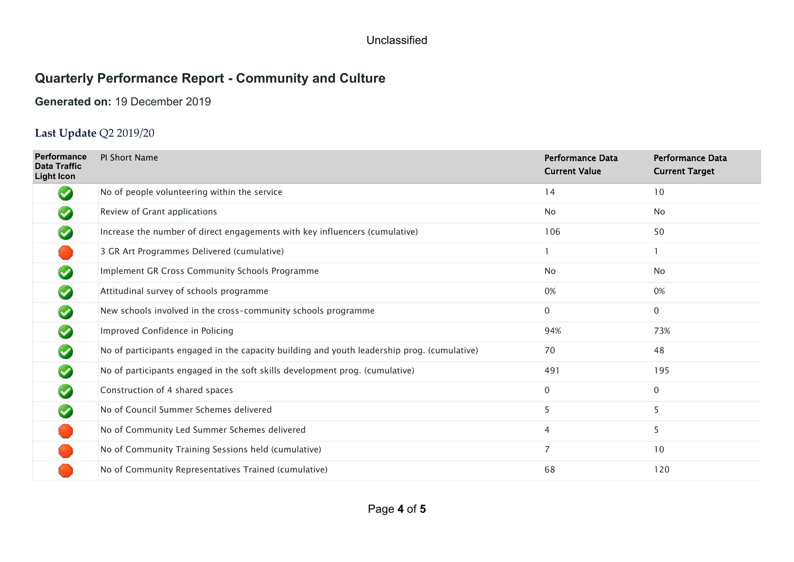## **Quarterly Performance Report - Community and Culture**

### **Generated on:** 19 December 2019

## **Last Update** Q2 2019/20

| <b>Performance</b><br><b>Data Traffic</b><br><b>Light Icon</b> | PI Short Name                                                                               | <b>Performance Data</b><br><b>Current Value</b> | <b>Performance Data</b><br><b>Current Target</b> |
|----------------------------------------------------------------|---------------------------------------------------------------------------------------------|-------------------------------------------------|--------------------------------------------------|
| $\blacktriangleright$                                          | No of people volunteering within the service                                                | 14                                              | 10                                               |
|                                                                | Review of Grant applications                                                                | <b>No</b>                                       | <b>No</b>                                        |
|                                                                | Increase the number of direct engagements with key influencers (cumulative)                 | 106                                             | 50                                               |
|                                                                | 3 GR Art Programmes Delivered (cumulative)                                                  |                                                 |                                                  |
|                                                                | Implement GR Cross Community Schools Programme                                              | <b>No</b>                                       | <b>No</b>                                        |
|                                                                | Attitudinal survey of schools programme                                                     | 0%                                              | 0%                                               |
|                                                                | New schools involved in the cross-community schools programme                               | 0                                               | 0                                                |
|                                                                | Improved Confidence in Policing                                                             | 94%                                             | 73%                                              |
|                                                                | No of participants engaged in the capacity building and youth leadership prog. (cumulative) | 70                                              | 48                                               |
|                                                                | No of participants engaged in the soft skills development prog. (cumulative)                | 491                                             | 195                                              |
|                                                                | Construction of 4 shared spaces                                                             | $\mathbf{0}$                                    | 0                                                |
|                                                                | No of Council Summer Schemes delivered                                                      | 5                                               | 5                                                |
|                                                                | No of Community Led Summer Schemes delivered                                                | 4                                               | 5                                                |
|                                                                | No of Community Training Sessions held (cumulative)                                         | 7                                               | 10                                               |
|                                                                | No of Community Representatives Trained (cumulative)                                        | 68                                              | 120                                              |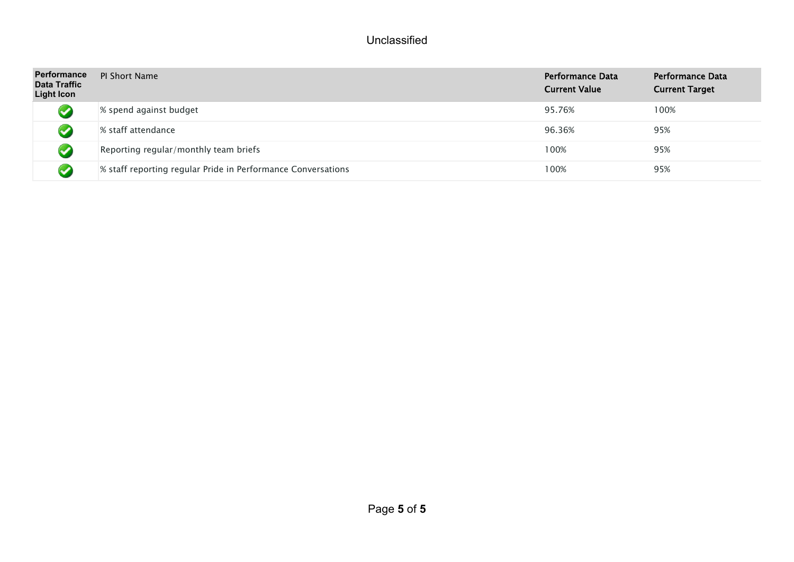| <b>Performance</b><br><b>Data Traffic</b><br><b>Light Icon</b> | <b>PI Short Name</b>                                         | Performance Data<br><b>Current Value</b> | Performance Data<br><b>Current Target</b> |
|----------------------------------------------------------------|--------------------------------------------------------------|------------------------------------------|-------------------------------------------|
|                                                                | % spend against budget                                       | 95.76%                                   | 100%                                      |
|                                                                | % staff attendance                                           | 96.36%                                   | 95%                                       |
|                                                                | Reporting regular/monthly team briefs                        | 100%                                     | 95%                                       |
|                                                                | % staff reporting regular Pride in Performance Conversations | 100%                                     | 95%                                       |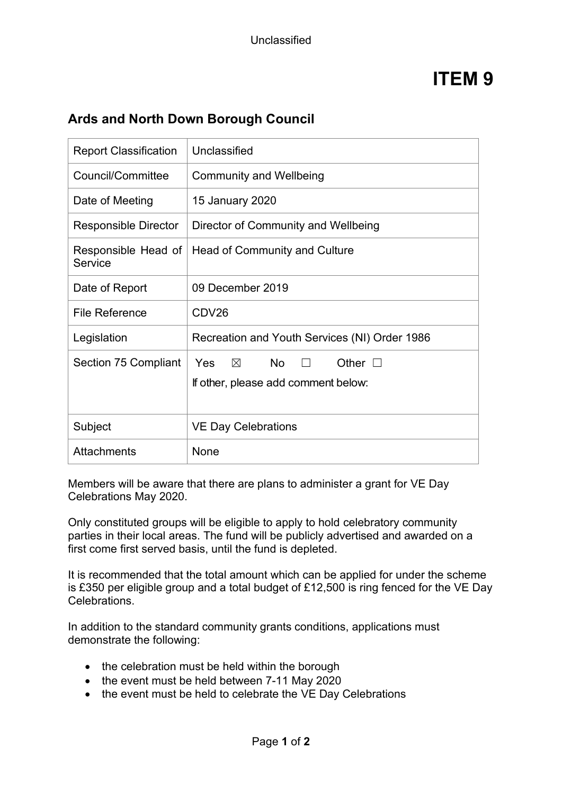## **Ards and North Down Borough Council**

| <b>Report Classification</b>   | Unclassified                                                                                |  |
|--------------------------------|---------------------------------------------------------------------------------------------|--|
| Council/Committee              | <b>Community and Wellbeing</b>                                                              |  |
| Date of Meeting                | 15 January 2020                                                                             |  |
| <b>Responsible Director</b>    | Director of Community and Wellbeing                                                         |  |
| Responsible Head of<br>Service | Head of Community and Culture                                                               |  |
| Date of Report                 | 09 December 2019                                                                            |  |
| <b>File Reference</b>          | CDV26                                                                                       |  |
| Legislation                    | Recreation and Youth Services (NI) Order 1986                                               |  |
| <b>Section 75 Compliant</b>    | No l<br>Yes<br>$\times$<br>Other $\square$<br>$\Box$<br>If other, please add comment below: |  |
| Subject                        | <b>VE Day Celebrations</b>                                                                  |  |
| <b>Attachments</b>             | None                                                                                        |  |

Members will be aware that there are plans to administer a grant for VE Day Celebrations May 2020.

Only constituted groups will be eligible to apply to hold celebratory community parties in their local areas. The fund will be publicly advertised and awarded on a first come first served basis, until the fund is depleted.

It is recommended that the total amount which can be applied for under the scheme is £350 per eligible group and a total budget of £12,500 is ring fenced for the VE Day Celebrations.

In addition to the standard community grants conditions, applications must demonstrate the following:

- the celebration must be held within the borough
- the event must be held between 7-11 May 2020
- the event must be held to celebrate the VE Day Celebrations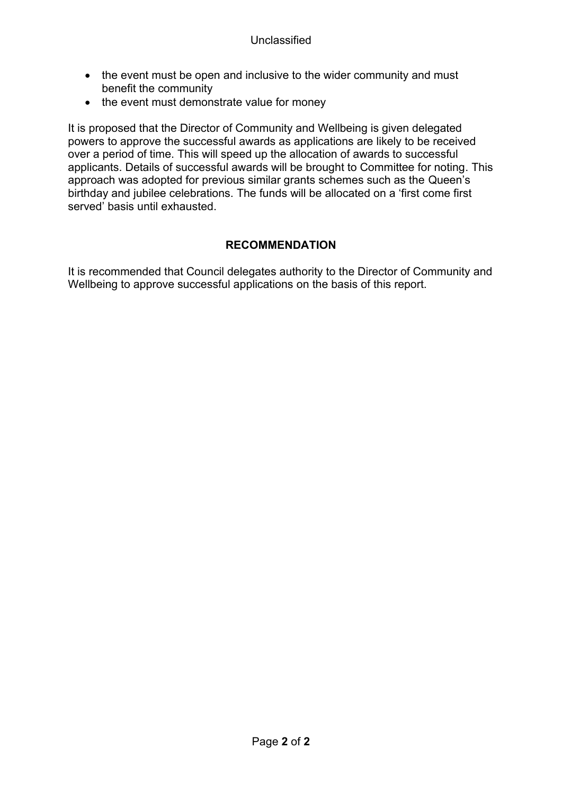- the event must be open and inclusive to the wider community and must benefit the community
- the event must demonstrate value for money

It is proposed that the Director of Community and Wellbeing is given delegated powers to approve the successful awards as applications are likely to be received over a period of time. This will speed up the allocation of awards to successful applicants. Details of successful awards will be brought to Committee for noting. This approach was adopted for previous similar grants schemes such as the Queen's birthday and jubilee celebrations. The funds will be allocated on a 'first come first served' basis until exhausted.

### **RECOMMENDATION**

It is recommended that Council delegates authority to the Director of Community and Wellbeing to approve successful applications on the basis of this report.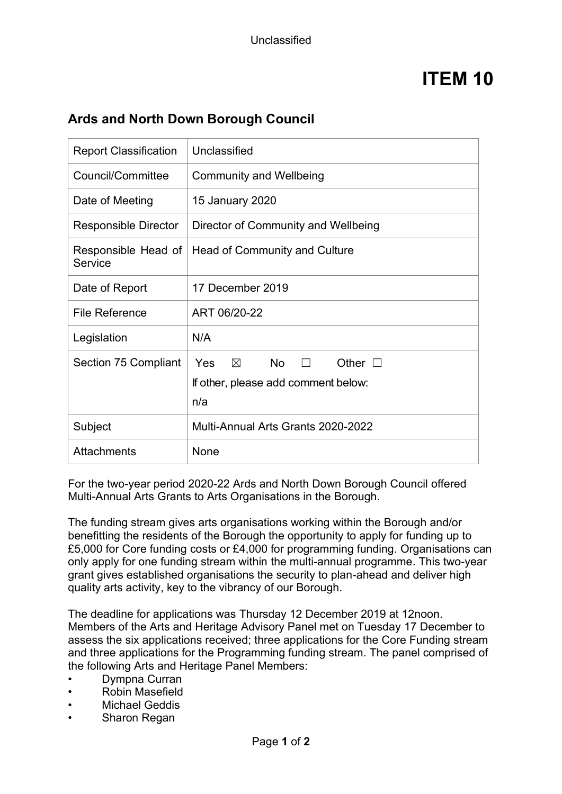## **Ards and North Down Borough Council**

| <b>Report Classification</b>   | Unclassified                                                                                          |  |
|--------------------------------|-------------------------------------------------------------------------------------------------------|--|
| Council/Committee              | <b>Community and Wellbeing</b>                                                                        |  |
| Date of Meeting                | 15 January 2020                                                                                       |  |
| <b>Responsible Director</b>    | Director of Community and Wellbeing                                                                   |  |
| Responsible Head of<br>Service | Head of Community and Culture                                                                         |  |
| Date of Report                 | 17 December 2019                                                                                      |  |
| <b>File Reference</b>          | ART 06/20-22                                                                                          |  |
| Legislation                    | N/A                                                                                                   |  |
| Section 75 Compliant           | No l<br>Yes<br>$\boxtimes$<br>Other $\square$<br>$\Box$<br>If other, please add comment below:<br>n/a |  |
| Subject                        | Multi-Annual Arts Grants 2020-2022                                                                    |  |
| <b>Attachments</b>             | None                                                                                                  |  |

For the two-year period 2020-22 Ards and North Down Borough Council offered Multi-Annual Arts Grants to Arts Organisations in the Borough.

The funding stream gives arts organisations working within the Borough and/or benefitting the residents of the Borough the opportunity to apply for funding up to £5,000 for Core funding costs or £4,000 for programming funding. Organisations can only apply for one funding stream within the multi-annual programme. This two-year grant gives established organisations the security to plan-ahead and deliver high quality arts activity, key to the vibrancy of our Borough.

The deadline for applications was Thursday 12 December 2019 at 12noon. Members of the Arts and Heritage Advisory Panel met on Tuesday 17 December to assess the six applications received; three applications for the Core Funding stream and three applications for the Programming funding stream. The panel comprised of the following Arts and Heritage Panel Members:

- Dympna Curran
- Robin Masefield
- **Michael Geddis**
- Sharon Regan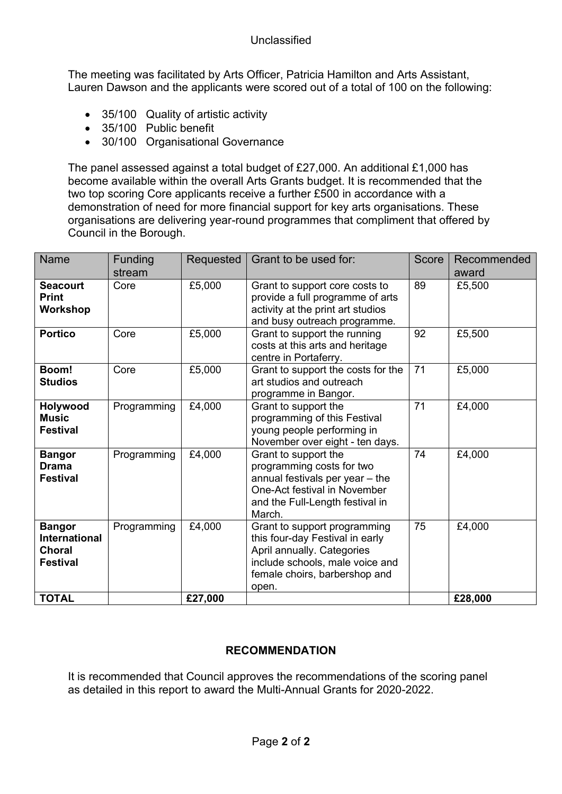The meeting was facilitated by Arts Officer, Patricia Hamilton and Arts Assistant, Lauren Dawson and the applicants were scored out of a total of 100 on the following:

- 35/100 Quality of artistic activity
- 35/100 Public benefit
- 30/100 Organisational Governance

The panel assessed against a total budget of £27,000. An additional £1,000 has become available within the overall Arts Grants budget. It is recommended that the two top scoring Core applicants receive a further £500 in accordance with a demonstration of need for more financial support for key arts organisations. These organisations are delivering year-round programmes that compliment that offered by Council in the Borough.

| <b>Name</b>                                                        | Funding<br>stream | Requested | Grant to be used for:                                                                                                                                                      | <b>Score</b>    | Recommended<br>award |
|--------------------------------------------------------------------|-------------------|-----------|----------------------------------------------------------------------------------------------------------------------------------------------------------------------------|-----------------|----------------------|
| <b>Seacourt</b><br><b>Print</b><br>Workshop                        | Core              | £5,000    | Grant to support core costs to<br>provide a full programme of arts<br>activity at the print art studios<br>and busy outreach programme.                                    | 89              | £5,500               |
| <b>Portico</b>                                                     | Core              | £5,000    | Grant to support the running<br>costs at this arts and heritage<br>centre in Portaferry.                                                                                   | 92              | £5,500               |
| Boom!<br><b>Studios</b>                                            | Core              | £5,000    | Grant to support the costs for the<br>art studios and outreach<br>programme in Bangor.                                                                                     | 71              | £5,000               |
| Holywood<br><b>Music</b><br><b>Festival</b>                        | Programming       | £4,000    | Grant to support the<br>programming of this Festival<br>young people performing in<br>November over eight - ten days.                                                      | $\overline{71}$ | £4,000               |
| <b>Bangor</b><br><b>Drama</b><br><b>Festival</b>                   | Programming       | £4,000    | Grant to support the<br>programming costs for two<br>annual festivals per year - the<br>One-Act festival in November<br>and the Full-Length festival in<br>March.          | 74              | £4,000               |
| <b>Bangor</b><br>International<br><b>Choral</b><br><b>Festival</b> | Programming       | £4,000    | Grant to support programming<br>this four-day Festival in early<br>April annually. Categories<br>include schools, male voice and<br>female choirs, barbershop and<br>open. | 75              | £4,000               |
| <b>TOTAL</b>                                                       |                   | £27,000   |                                                                                                                                                                            |                 | £28,000              |

#### **RECOMMENDATION**

It is recommended that Council approves the recommendations of the scoring panel as detailed in this report to award the Multi-Annual Grants for 2020-2022.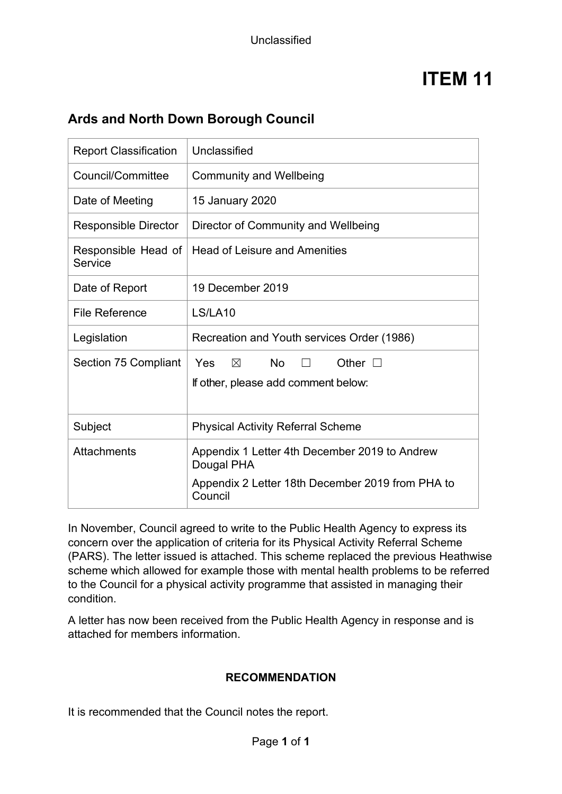## **Ards and North Down Borough Council**

| <b>Report Classification</b>   | Unclassified                                                                                                    |  |
|--------------------------------|-----------------------------------------------------------------------------------------------------------------|--|
| Council/Committee              | <b>Community and Wellbeing</b>                                                                                  |  |
| Date of Meeting                | 15 January 2020                                                                                                 |  |
| <b>Responsible Director</b>    | Director of Community and Wellbeing                                                                             |  |
| Responsible Head of<br>Service | <b>Head of Leisure and Amenities</b>                                                                            |  |
| Date of Report                 | 19 December 2019                                                                                                |  |
| <b>File Reference</b>          | LS/LA10                                                                                                         |  |
| Legislation                    | Recreation and Youth services Order (1986)                                                                      |  |
| Section 75 Compliant           | <b>No</b><br><b>Yes</b><br>$\boxtimes$<br>Other $\square$<br>If other, please add comment below:                |  |
| Subject                        | <b>Physical Activity Referral Scheme</b>                                                                        |  |
| <b>Attachments</b>             | Appendix 1 Letter 4th December 2019 to Andrew<br>Dougal PHA<br>Appendix 2 Letter 18th December 2019 from PHA to |  |
|                                | Council                                                                                                         |  |

In November, Council agreed to write to the Public Health Agency to express its concern over the application of criteria for its Physical Activity Referral Scheme (PARS). The letter issued is attached. This scheme replaced the previous Heathwise scheme which allowed for example those with mental health problems to be referred to the Council for a physical activity programme that assisted in managing their condition.

A letter has now been received from the Public Health Agency in response and is attached for members information.

#### **RECOMMENDATION**

It is recommended that the Council notes the report.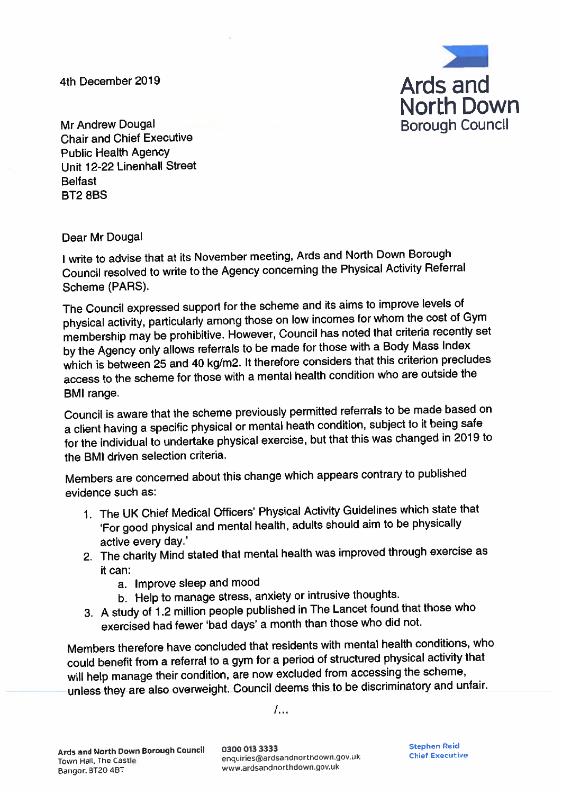4th December 2019



Mr Andrew Dougal **Chair and Chief Executive Public Health Agency** Unit 12-22 Linenhall Street **Belfast BT2 8BS** 

Dear Mr Dougal

I write to advise that at its November meeting, Ards and North Down Borough Council resolved to write to the Agency concerning the Physical Activity Referral Scheme (PARS).

The Council expressed support for the scheme and its aims to improve levels of physical activity, particularly among those on low incomes for whom the cost of Gym membership may be prohibitive. However, Council has noted that criteria recently set by the Agency only allows referrals to be made for those with a Body Mass Index which is between 25 and 40 kg/m2. It therefore considers that this criterion precludes access to the scheme for those with a mental health condition who are outside the **BMI** range.

Council is aware that the scheme previously permitted referrals to be made based on a client having a specific physical or mental heath condition, subject to it being safe for the individual to undertake physical exercise, but that this was changed in 2019 to the BMI driven selection criteria.

Members are concerned about this change which appears contrary to published evidence such as:

- 1. The UK Chief Medical Officers' Physical Activity Guidelines which state that 'For good physical and mental health, adults should aim to be physically active every day.'
- 2. The charity Mind stated that mental health was improved through exercise as it can:
	- a. Improve sleep and mood
	- b. Help to manage stress, anxiety or intrusive thoughts.
- 3. A study of 1.2 million people published in The Lancet found that those who exercised had fewer 'bad days' a month than those who did not.

Members therefore have concluded that residents with mental health conditions, who could benefit from a referral to a gym for a period of structured physical activity that will help manage their condition, are now excluded from accessing the scheme, unless they are also overweight. Council deems this to be discriminatory and unfair.

 $l_{\cdots}$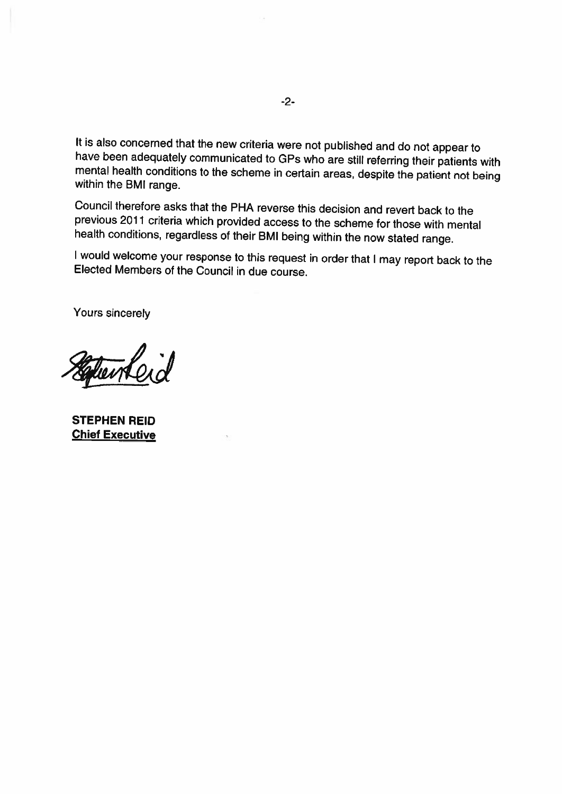It is also concerned that the new criteria were not published and do not appear to have been adequately communicated to GPs who are still referring their patients with mental health conditions to the scheme in certain areas, despite the patient not being within the BMI range.

Council therefore asks that the PHA reverse this decision and revert back to the previous 2011 criteria which provided access to the scheme for those with mental health conditions, regardless of their BMI being within the now stated range.

I would welcome your response to this request in order that I may report back to the Elected Members of the Council in due course.

Yours sincerely

Colon Re

**STEPHEN REID Chief Executive**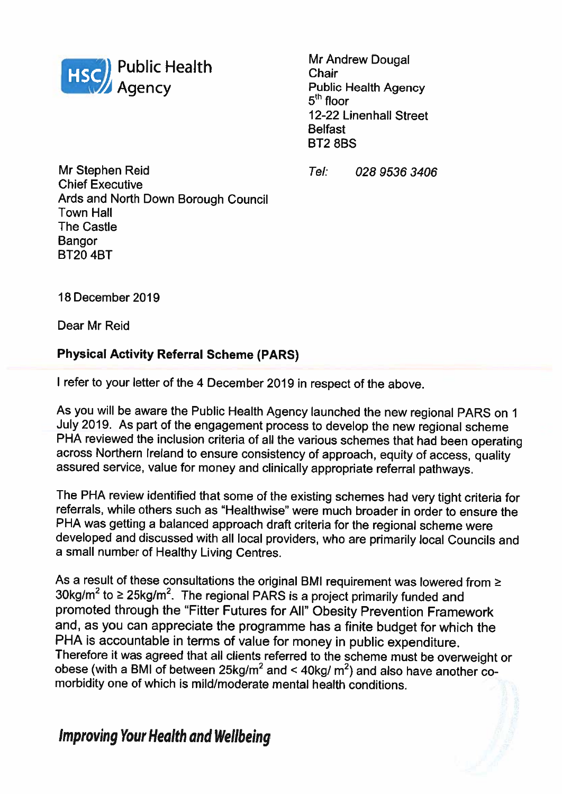

**Mr Andrew Dougal** Chair **Public Health Agency**  $5<sup>th</sup>$  floor 12-22 Linenhall Street **Belfast BT28BS** 

 $Tel$ 028 9536 3406

Mr Stephen Reid **Chief Executive** Ards and North Down Borough Council **Town Hall The Castle** Bangor **BT20 4BT** 

18 December 2019

Dear Mr Reid

### **Physical Activity Referral Scheme (PARS)**

I refer to your letter of the 4 December 2019 in respect of the above.

As you will be aware the Public Health Agency launched the new regional PARS on 1 July 2019. As part of the engagement process to develop the new regional scheme PHA reviewed the inclusion criteria of all the various schemes that had been operating across Northern Ireland to ensure consistency of approach, equity of access, quality assured service, value for money and clinically appropriate referral pathways.

The PHA review identified that some of the existing schemes had very tight criteria for referrals, while others such as "Healthwise" were much broader in order to ensure the PHA was getting a balanced approach draft criteria for the regional scheme were developed and discussed with all local providers, who are primarily local Councils and a small number of Healthy Living Centres.

As a result of these consultations the original BMI requirement was lowered from  $\geq$ 30kg/m<sup>2</sup> to  $\geq$  25kg/m<sup>2</sup>. The regional PARS is a project primarily funded and promoted through the "Fitter Futures for All" Obesity Prevention Framework and, as you can appreciate the programme has a finite budget for which the PHA is accountable in terms of value for money in public expenditure. Therefore it was agreed that all clients referred to the scheme must be overweight or obese (with a BMI of between  $25\text{kg/m}^2$  and <  $40\text{kg/m}^2$ ) and also have another comorbidity one of which is mild/moderate mental health conditions.

## **Improving Your Health and Wellbeing**